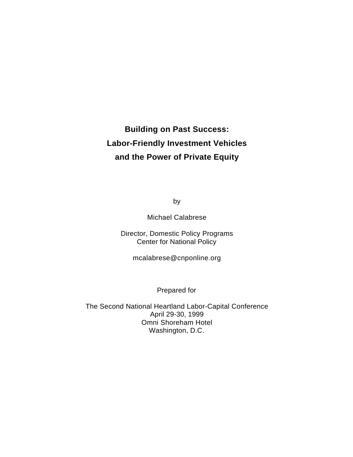# **Building on Past Success: Labor-Friendly Investment Vehicles and the Power of Private Equity**

by

Michael Calabrese

Director, Domestic Policy Programs Center for National Policy

mcalabrese@cnponline.org

Prepared for

The Second National Heartland Labor-Capital Conference April 29-30, 1999 Omni Shoreham Hotel Washington, D.C.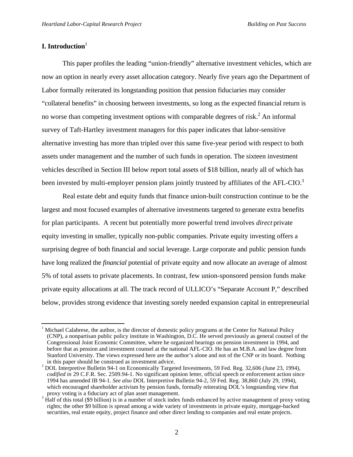# **I. Introduction**<sup>1</sup>

l

This paper profiles the leading "union-friendly" alternative investment vehicles, which are now an option in nearly every asset allocation category. Nearly five years ago the Department of Labor formally reiterated its longstanding position that pension fiduciaries may consider "collateral benefits" in choosing between investments, so long as the expected financial return is no worse than competing investment options with comparable degrees of risk.<sup>2</sup> An informal survey of Taft-Hartley investment managers for this paper indicates that labor-sensitive alternative investing has more than tripled over this same five-year period with respect to both assets under management and the number of such funds in operation. The sixteen investment vehicles described in Section III below report total assets of \$18 billion, nearly all of which has been invested by multi-employer pension plans jointly trusteed by affiliates of the AFL-CIO.<sup>3</sup>

Real estate debt and equity funds that finance union-built construction continue to be the largest and most focused examples of alternative investments targeted to generate extra benefits for plan participants. A recent but potentially more powerful trend involves *direct* private equity investing in smaller, typically non-public companies. Private equity investing offers a surprising degree of both financial and social leverage. Large corporate and public pension funds have long realized the *financial* potential of private equity and now allocate an average of almost 5% of total assets to private placements. In contrast, few union-sponsored pension funds make private equity allocations at all. The track record of ULLICO's "Separate Account P," described below, provides strong evidence that investing sorely needed expansion capital in entrepreneurial

<sup>1</sup> Michael Calabrese, the author, is the director of domestic policy programs at the Center for National Policy (CNP), a nonpartisan public policy institute in Washington, D.C. He served previously as general counsel of the Congressional Joint Economic Committee, where he organized hearings on pension investment in 1994, and before that as pension and investment counsel at the national AFL-CIO. He has an M.B.A. and law degree from Stanford University. The views expressed here are the author's alone and not of the CNP or its board. Nothing in this paper should be construed as investment advice.

<sup>2</sup> DOL Interpretive Bulletin 94-1 on Economically Targeted Investments, 59 Fed. Reg. 32,606 (June 23, 1994), *codified in* 29 C.F.R. Sec. 2509.94-1. No significant opinion letter, official speech or enforcement action since 1994 has amended IB 94-1. *See also* DOL Interpretive Bulletin 94-2, 59 Fed. Reg. 38,860 (July 29, 1994), which encouraged shareholder activism by pension funds, formally reiterating DOL's longstanding view that proxy voting is a fiduciary act of plan asset management.

<sup>3</sup> Half of this total (\$9 billion) is in a number of stock index funds enhanced by active management of proxy voting rights; the other \$9 billion is spread among a wide variety of investments in private equity, mortgage-backed securities, real estate equity, project finance and other direct lending to companies and real estate projects.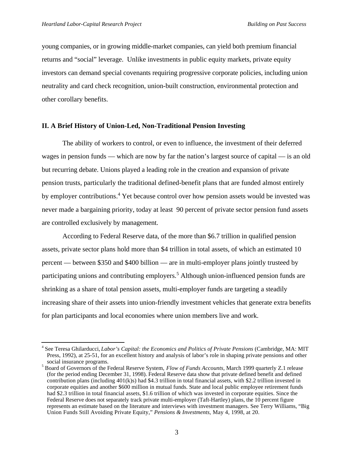l

young companies, or in growing middle-market companies, can yield both premium financial returns and "social" leverage. Unlike investments in public equity markets, private equity investors can demand special covenants requiring progressive corporate policies, including union neutrality and card check recognition, union-built construction, environmental protection and other corollary benefits.

#### **II. A Brief History of Union-Led, Non-Traditional Pension Investing**

The ability of workers to control, or even to influence, the investment of their deferred wages in pension funds — which are now by far the nation's largest source of capital — is an old but recurring debate. Unions played a leading role in the creation and expansion of private pension trusts, particularly the traditional defined-benefit plans that are funded almost entirely by employer contributions.<sup>4</sup> Yet because control over how pension assets would be invested was never made a bargaining priority, today at least 90 percent of private sector pension fund assets are controlled exclusively by management.

According to Federal Reserve data, of the more than \$6.7 trillion in qualified pension assets, private sector plans hold more than \$4 trillion in total assets, of which an estimated 10 percent — between \$350 and \$400 billion — are in multi-employer plans jointly trusteed by participating unions and contributing employers.<sup>5</sup> Although union-influenced pension funds are shrinking as a share of total pension assets, multi-employer funds are targeting a steadily increasing share of their assets into union-friendly investment vehicles that generate extra benefits for plan participants and local economies where union members live and work.

<sup>4</sup> See Teresa Ghilarducci, *Labor's Capital: the Economics and Politics of Private Pensions* (Cambridge, MA: MIT Press, 1992), at 25-51, for an excellent history and analysis of labor's role in shaping private pensions and other social insurance programs.

<sup>5</sup> Board of Governors of the Federal Reserve System, *Flow of Funds Accounts*, March 1999 quarterly Z.1 release (for the period ending December 31, 1998). Federal Reserve data show that private defined benefit and defined contribution plans (including 401(k)s) had \$4.3 trillion in total financial assets, with \$2.2 trillion invested in corporate equities and another \$600 million in mutual funds. State and local public employee retirement funds had \$2.3 trillion in total financial assets, \$1.6 trillion of which was invested in corporate equities. Since the Federal Reserve does not separately track private multi-employer (Taft-Hartley) plans, the 10 percent figure represents an estimate based on the literature and interviews with investment managers. See Terry Williams, "Big Union Funds Still Avoiding Private Equity," *Pensions & Investments,* May 4, 1998, at 20.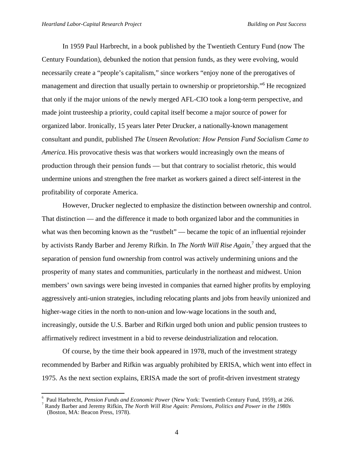j

In 1959 Paul Harbrecht, in a book published by the Twentieth Century Fund (now The Century Foundation), debunked the notion that pension funds, as they were evolving, would necessarily create a "people's capitalism," since workers "enjoy none of the prerogatives of management and direction that usually pertain to ownership or proprietorship."<sup>6</sup> He recognized that only if the major unions of the newly merged AFL-CIO took a long-term perspective, and made joint trusteeship a priority, could capital itself become a major source of power for organized labor. Ironically, 15 years later Peter Drucker, a nationally-known management consultant and pundit, published *The Unseen Revolution: How Pension Fund Socialism Came to America.* His provocative thesis was that workers would increasingly own the means of production through their pension funds — but that contrary to socialist rhetoric, this would undermine unions and strengthen the free market as workers gained a direct self-interest in the profitability of corporate America.

However, Drucker neglected to emphasize the distinction between ownership and control. That distinction — and the difference it made to both organized labor and the communities in what was then becoming known as the "rustbelt" — became the topic of an influential rejoinder by activists Randy Barber and Jeremy Rifkin. In *The North Will Rise Again*,<sup>7</sup> they argued that the separation of pension fund ownership from control was actively undermining unions and the prosperity of many states and communities, particularly in the northeast and midwest. Union members' own savings were being invested in companies that earned higher profits by employing aggressively anti-union strategies, including relocating plants and jobs from heavily unionized and higher-wage cities in the north to non-union and low-wage locations in the south and, increasingly, outside the U.S. Barber and Rifkin urged both union and public pension trustees to affirmatively redirect investment in a bid to reverse deindustrialization and relocation.

Of course, by the time their book appeared in 1978, much of the investment strategy recommended by Barber and Rifkin was arguably prohibited by ERISA, which went into effect in 1975. As the next section explains, ERISA made the sort of profit-driven investment strategy

<sup>6</sup> Paul Harbrecht, *Pension Funds and Economic Power* (New York: Twentieth Century Fund, 1959), at 266.

<sup>7</sup> Randy Barber and Jeremy Rifkin, *The North Will Rise Again: Pensions, Politics and Power in the 1980s* (Boston, MA: Beacon Press, 1978).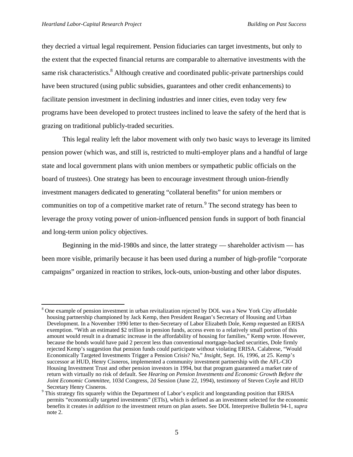l

they decried a virtual legal requirement. Pension fiduciaries can target investments, but only to the extent that the expected financial returns are comparable to alternative investments with the same risk characteristics.<sup>8</sup> Although creative and coordinated public-private partnerships could have been structured (using public subsidies, guarantees and other credit enhancements) to facilitate pension investment in declining industries and inner cities, even today very few programs have been developed to protect trustees inclined to leave the safety of the herd that is grazing on traditional publicly-traded securities.

This legal reality left the labor movement with only two basic ways to leverage its limited pension power (which was, and still is, restricted to multi-employer plans and a handful of large state and local government plans with union members or sympathetic public officials on the board of trustees). One strategy has been to encourage investment through union-friendly investment managers dedicated to generating "collateral benefits" for union members or communities on top of a competitive market rate of return.<sup>9</sup> The second strategy has been to leverage the proxy voting power of union-influenced pension funds in support of both financial and long-term union policy objectives.

Beginning in the mid-1980s and since, the latter strategy — shareholder activism — has been more visible, primarily because it has been used during a number of high-profile "corporate campaigns" organized in reaction to strikes, lock-outs, union-busting and other labor disputes.

<sup>8</sup> One example of pension investment in urban revitalization rejected by DOL was a New York City affordable housing partnership championed by Jack Kemp, then President Reagan's Secretary of Housing and Urban Development. In a November 1990 letter to then-Secretary of Labor Elizabeth Dole, Kemp requested an ERISA exemption. "With an estimated \$2 trillion in pension funds, access even to a relatively small portion of this amount would result in a dramatic increase in the affordability of housing for families," Kemp wrote. However, because the bonds would have paid 2 percent less than conventional mortgage-backed securities, Dole firmly rejected Kemp's suggestion that pension funds could participate without violating ERISA. Calabrese, "Would Economically Targeted Investments Trigger a Pension Crisis? No," *Insight*, Sept. 16, 1996, at 25. Kemp's successor at HUD, Henry Cisneros, implemented a community investment partnership with the AFL-CIO Housing Investment Trust and other pension investors in 1994, but that program guaranteed a market rate of return with virtually no risk of default. See *Hearing on Pension Investments and Economic Growth Before the Joint Economic Committee*, 103d Congress, 2d Session (June 22, 1994), testimony of Steven Coyle and HUD Secretary Henry Cisneros.

<sup>&</sup>lt;sup>9</sup> This strategy fits squarely within the Department of Labor's explicit and longstanding position that ERISA permits "economically targeted investments" (ETIs), which is defined as an investment selected for the economic benefits it creates *in addition to* the investment return on plan assets. See DOL Interpretive Bulletin 94-1, *supra* note 2.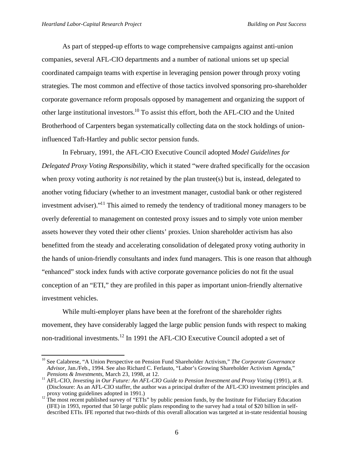j

As part of stepped-up efforts to wage comprehensive campaigns against anti-union companies, several AFL-CIO departments and a number of national unions set up special coordinated campaign teams with expertise in leveraging pension power through proxy voting strategies. The most common and effective of those tactics involved sponsoring pro-shareholder corporate governance reform proposals opposed by management and organizing the support of other large institutional investors.<sup>10</sup> To assist this effort, both the AFL-CIO and the United Brotherhood of Carpenters began systematically collecting data on the stock holdings of unioninfluenced Taft-Hartley and public sector pension funds.

In February, 1991, the AFL-CIO Executive Council adopted *Model Guidelines for Delegated Proxy Voting Responsibility*, which it stated "were drafted specifically for the occasion when proxy voting authority *is not* retained by the plan trustee(s) but is, instead, delegated to another voting fiduciary (whether to an investment manager, custodial bank or other registered investment adviser)."<sup>11</sup> This aimed to remedy the tendency of traditional money managers to be overly deferential to management on contested proxy issues and to simply vote union member assets however they voted their other clients' proxies. Union shareholder activism has also benefitted from the steady and accelerating consolidation of delegated proxy voting authority in the hands of union-friendly consultants and index fund managers. This is one reason that although "enhanced" stock index funds with active corporate governance policies do not fit the usual conception of an "ETI," they are profiled in this paper as important union-friendly alternative investment vehicles.

While multi-employer plans have been at the forefront of the shareholder rights movement, they have considerably lagged the large public pension funds with respect to making non-traditional investments.<sup>12</sup> In 1991 the AFL-CIO Executive Council adopted a set of

<sup>&</sup>lt;sup>10</sup> See Calabrese, "A Union Perspective on Pension Fund Shareholder Activism," The Corporate Governance *Advisor*, Jan./Feb., 1994. See also Richard C. Ferlauto, "Labor's Growing Shareholder Activism Agenda," *Pensions & Investments*, March 23, 1998, at 12.

<sup>&</sup>lt;sup>11</sup> AFL-CIO, *Investing in Our Future: An AFL-CIO Guide to Pension Investment and Proxy Voting* (1991), at 8. (Disclosure: As an AFL-CIO staffer, the author was a principal drafter of the AFL-CIO investment principles and proxy voting guidelines adopted in 1991.)

 $12$ <sup>12</sup> The most recent published survey of "ETIs" by public pension funds, by the Institute for Fiduciary Education (IFE) in 1993, reported that 50 large public plans responding to the survey had a total of \$20 billion in selfdescribed ETIs. IFE reported that two-thirds of this overall allocation was targeted at in-state residential housing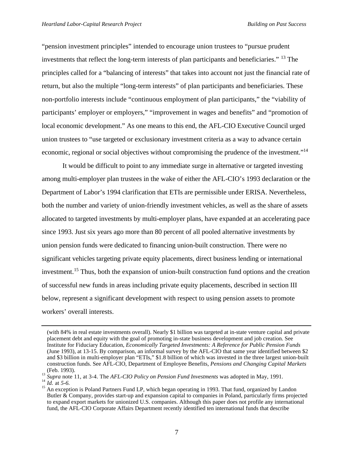"pension investment principles" intended to encourage union trustees to "pursue prudent investments that reflect the long-term interests of plan participants and beneficiaries." <sup>13</sup> The principles called for a "balancing of interests" that takes into account not just the financial rate of return, but also the multiple "long-term interests" of plan participants and beneficiaries. These non-portfolio interests include "continuous employment of plan participants," the "viability of participants' employer or employers," "improvement in wages and benefits" and "promotion of local economic development." As one means to this end, the AFL-CIO Executive Council urged union trustees to "use targeted or exclusionary investment criteria as a way to advance certain economic, regional or social objectives without compromising the prudence of the investment."<sup>14</sup>

It would be difficult to point to any immediate surge in alternative or targeted investing among multi-employer plan trustees in the wake of either the AFL-CIO's 1993 declaration or the Department of Labor's 1994 clarification that ETIs are permissible under ERISA. Nevertheless, both the number and variety of union-friendly investment vehicles, as well as the share of assets allocated to targeted investments by multi-employer plans, have expanded at an accelerating pace since 1993. Just six years ago more than 80 percent of all pooled alternative investments by union pension funds were dedicated to financing union-built construction. There were no significant vehicles targeting private equity placements, direct business lending or international investment.<sup>15</sup> Thus, both the expansion of union-built construction fund options and the creation of successful new funds in areas including private equity placements, described in section III below, represent a significant development with respect to using pension assets to promote workers' overall interests.

<sup>(</sup>with 84% in real estate investments overall). Nearly \$1 billion was targeted at in-state venture capital and private placement debt and equity with the goal of promoting in-state business development and job creation. See Institute for Fiduciary Education, *Economically Targeted Investments: A Reference for Public Pension Funds* (June 1993), at 13-15. By comparison, an informal survey by the AFL-CIO that same year identified between \$2 and \$3 billion in multi-employer plan "ETIs," \$1.8 billion of which was invested in the three largest union-built construction funds. See AFL-CIO, Department of Employee Benefits, *Pensions and Changing Capital Markets* (Feb. 1993).

<sup>&</sup>lt;sup>13</sup> Supra note 11, at 3-4. The *AFL-CIO Policy on Pension Fund Investments* was adopted in May, 1991.

<sup>14</sup> *Id.* at *5-6.*

<sup>&</sup>lt;sup>15</sup> An exception is Poland Partners Fund LP, which began operating in 1993. That fund, organized by Landon Butler & Company, provides start-up and expansion capital to companies in Poland, particularly firms projected to expand export markets for unionized U.S. companies. Although this paper does not profile any international fund, the AFL-CIO Corporate Affairs Department recently identified ten international funds that describe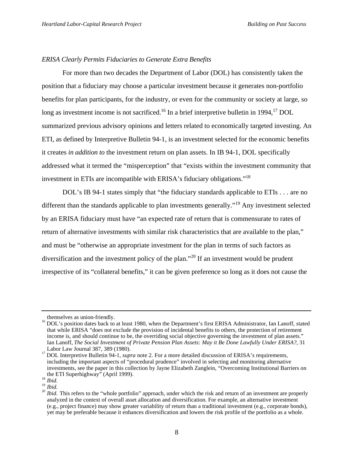#### *ERISA Clearly Permits Fiduciaries to Generate Extra Benefits*

For more than two decades the Department of Labor (DOL) has consistently taken the position that a fiduciary may choose a particular investment because it generates non-portfolio benefits for plan participants, for the industry, or even for the community or society at large, so long as investment income is not sacrificed.<sup>16</sup> In a brief interpretive bulletin in 1994,<sup>17</sup> DOL summarized previous advisory opinions and letters related to economically targeted investing. An ETI, as defined by Interpretive Bulletin 94-1, is an investment selected for the economic benefits it creates *in addition to* the investment return on plan assets. In IB 94-1, DOL specifically addressed what it termed the "misperception" that "exists within the investment community that investment in ETIs are incompatible with ERISA's fiduciary obligations."<sup>18</sup>

DOL's IB 94-1 states simply that "the fiduciary standards applicable to ETIs . . . are no different than the standards applicable to plan investments generally."<sup>19</sup> Any investment selected by an ERISA fiduciary must have "an expected rate of return that is commensurate to rates of return of alternative investments with similar risk characteristics that are available to the plan," and must be "otherwise an appropriate investment for the plan in terms of such factors as diversification and the investment policy of the plan."<sup>20</sup> If an investment would be prudent irrespective of its "collateral benefits," it can be given preference so long as it does not cause the

themselves as union-friendly.

<sup>&</sup>lt;sup>16</sup> DOL's position dates back to at least 1980, when the Department's first ERISA Administrator, Ian Lanoff, stated that while ERISA "does not exclude the provision of incidental benefits to others, the protection of retirement income is, and should continue to be, the overriding social objective governing the investment of plan assets." Ian Lanoff, *The Social Investment of Private Pension Plan Assets: May it Be Done Lawfully Under ERISA?*, 31 Labor Law Journal 387, 389 (1980).

<sup>&</sup>lt;sup>17</sup> DOL Interpretive Bulletin 94-1, *supra* note 2. For a more detailed discussion of ERISA's requirements, including the important aspects of "procedural prudence" involved in selecting and monitoring alternative investments, see the paper in this collection by Jayne Elizabeth Zanglein, "Overcoming Institutional Barriers on the ETI Superhighway" (April 1999).

<sup>18</sup> *Ibid.*

<sup>19</sup> *Ibid.*

<sup>&</sup>lt;sup>20</sup> *Ibid.* This refers to the "whole portfolio" approach, under which the risk and return of an investment are properly analyzed in the context of overall asset allocation and diversification. For example, an alternative investment (e.g., project finance) may show greater variability of return than a traditional investment (e.g., corporate bonds), yet may be preferable because it enhances diversification and lowers the risk profile of the portfolio as a whole.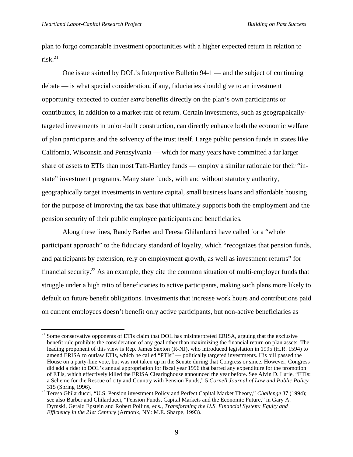l

plan to forgo comparable investment opportunities with a higher expected return in relation to  $risk<sup>21</sup>$ 

One issue skirted by DOL's Interpretive Bulletin 94-1 — and the subject of continuing debate — is what special consideration, if any, fiduciaries should give to an investment opportunity expected to confer *extra* benefits directly on the plan's own participants or contributors, in addition to a market-rate of return. Certain investments, such as geographicallytargeted investments in union-built construction, can directly enhance both the economic welfare of plan participants and the solvency of the trust itself. Large public pension funds in states like California, Wisconsin and Pennsylvania — which for many years have committed a far larger share of assets to ETIs than most Taft-Hartley funds — employ a similar rationale for their "instate" investment programs. Many state funds, with and without statutory authority, geographically target investments in venture capital, small business loans and affordable housing for the purpose of improving the tax base that ultimately supports both the employment and the pension security of their public employee participants and beneficiaries.

Along these lines, Randy Barber and Teresa Ghilarducci have called for a "whole participant approach" to the fiduciary standard of loyalty, which "recognizes that pension funds, and participants by extension, rely on employment growth, as well as investment returns" for financial security.<sup>22</sup> As an example, they cite the common situation of multi-employer funds that struggle under a high ratio of beneficiaries to active participants, making such plans more likely to default on future benefit obligations. Investments that increase work hours and contributions paid on current employees doesn't benefit only active participants, but non-active beneficiaries as

 $21$  Some conservative opponents of ETIs claim that DOL has misinterpreted ERISA, arguing that the exclusive benefit rule prohibits the consideration of any goal other than maximizing the financial return on plan assets. The leading proponent of this view is Rep. James Saxton (R-NJ), who introduced legislation in 1995 (H.R. 1594) to amend ERISA to outlaw ETIs, which he called "PTIs" — politically targeted investments. His bill passed the House on a party-line vote, but was not taken up in the Senate during that Congress or since. However, Congress did add a rider to DOL's annual appropriation for fiscal year 1996 that barred any expenditure for the promotion of ETIs, which effectively killed the ERISA Clearinghouse announced the year before. See Alvin D. Lurie, "ETIs: a Scheme for the Rescue of city and Country with Pension Funds," 5 *Cornell Journal of Law and Public Policy* 315 (Spring 1996).

<sup>22</sup> Teresa Ghilarducci, "U.S. Pension investment Policy and Perfect Capital Market Theory," *Challenge* 37 (1994); see also Barber and Ghilarducci, "Pension Funds, Capital Markets and the Economic Future," in Gary A. Dymski, Gerald Epstein and Robert Pollins, eds., *Transforming the U.S. Financial System: Equity and Efficiency in the 21st Century* (Armonk, NY: M.E. Sharpe, 1993).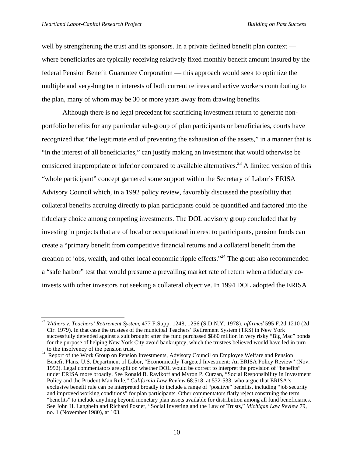j

well by strengthening the trust and its sponsors. In a private defined benefit plan context where beneficiaries are typically receiving relatively fixed monthly benefit amount insured by the federal Pension Benefit Guarantee Corporation — this approach would seek to optimize the multiple and very-long term interests of both current retirees and active workers contributing to the plan, many of whom may be 30 or more years away from drawing benefits.

Although there is no legal precedent for sacrificing investment return to generate nonportfolio benefits for any particular sub-group of plan participants or beneficiaries, courts have recognized that "the legitimate end of preventing the exhaustion of the assets," in a manner that is "in the interest of all beneficiaries," can justify making an investment that would otherwise be considered inappropriate or inferior compared to available alternatives.<sup>23</sup> A limited version of this "whole participant" concept garnered some support within the Secretary of Labor's ERISA Advisory Council which, in a 1992 policy review, favorably discussed the possibility that collateral benefits accruing directly to plan participants could be quantified and factored into the fiduciary choice among competing investments. The DOL advisory group concluded that by investing in projects that are of local or occupational interest to participants, pension funds can create a "primary benefit from competitive financial returns and a collateral benefit from the creation of jobs, wealth, and other local economic ripple effects."<sup>24</sup> The group also recommended a "safe harbor" test that would presume a prevailing market rate of return when a fiduciary coinvests with other investors not seeking a collateral objective. In 1994 DOL adopted the ERISA

<sup>23</sup> *Withers v. Teachers' Retirement System*, 477 F.Supp. 1248, 1256 (S.D.N.Y. 1978), *affirmed* 595 F.2d 1210 (2d Cir. 1979). In that case the trustees of the municipal Teachers' Retirement System (TRS) in New York successfully defended against a suit brought after the fund purchased \$860 million in very risky "Big Mac" bonds for the purpose of helping New York City avoid bankruptcy, which the trustees believed would have led in turn to the insolvency of the pension trust.

<sup>&</sup>lt;sup>24</sup> Report of the Work Group on Pension Investments, Advisory Council on Employee Welfare and Pension Benefit Plans, U.S. Department of Labor, "Economically Targeted Investment: An ERISA Policy Review" (Nov. 1992). Legal commentators are split on whether DOL would be correct to interpret the provision of "benefits" under ERISA more broadly. See Ronald B. Ravikoff and Myron P. Curzan, "Social Responsibility in Investment Policy and the Prudent Man Rule," *California Law Review* 68:518, at 532-533, who argue that ERISA's exclusive benefit rule can be interpreted broadly to include a range of "positive" benefits, including "job security and improved working conditions" for plan participants. Other commentators flatly reject construing the term "benefits" to include anything beyond monetary plan assets available for distribution among all fund beneficiaries. See John H. Langbein and Richard Posner, "Social Investing and the Law of Trusts," *Michigan Law Review* 79, no. 1 (November 1980), at 103.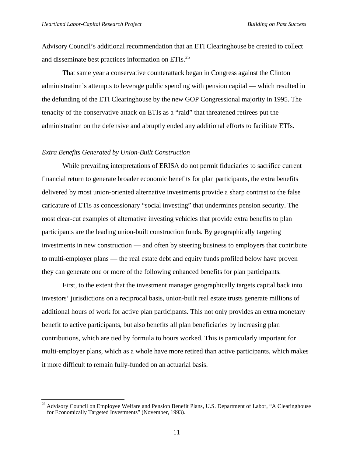Advisory Council's additional recommendation that an ETI Clearinghouse be created to collect and disseminate best practices information on ETIs.<sup>25</sup>

That same year a conservative counterattack began in Congress against the Clinton administration's attempts to leverage public spending with pension capital — which resulted in the defunding of the ETI Clearinghouse by the new GOP Congressional majority in 1995. The tenacity of the conservative attack on ETIs as a "raid" that threatened retirees put the administration on the defensive and abruptly ended any additional efforts to facilitate ETIs.

#### *Extra Benefits Generated by Union-Built Construction*

l

While prevailing interpretations of ERISA do not permit fiduciaries to sacrifice current financial return to generate broader economic benefits for plan participants, the extra benefits delivered by most union-oriented alternative investments provide a sharp contrast to the false caricature of ETIs as concessionary "social investing" that undermines pension security. The most clear-cut examples of alternative investing vehicles that provide extra benefits to plan participants are the leading union-built construction funds. By geographically targeting investments in new construction — and often by steering business to employers that contribute to multi-employer plans — the real estate debt and equity funds profiled below have proven they can generate one or more of the following enhanced benefits for plan participants*.*

First, to the extent that the investment manager geographically targets capital back into investors' jurisdictions on a reciprocal basis, union-built real estate trusts generate millions of additional hours of work for active plan participants. This not only provides an extra monetary benefit to active participants, but also benefits all plan beneficiaries by increasing plan contributions, which are tied by formula to hours worked. This is particularly important for multi-employer plans, which as a whole have more retired than active participants, which makes it more difficult to remain fully-funded on an actuarial basis.

<sup>&</sup>lt;sup>25</sup> Advisory Council on Employee Welfare and Pension Benefit Plans, U.S. Department of Labor, "A Clearinghouse for Economically Targeted Investments" (November, 1993).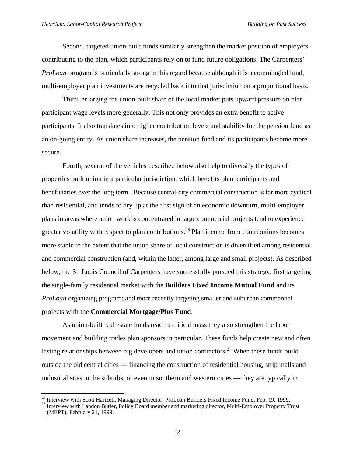j

Second, targeted union-built funds similarly strengthen the market position of employers contributing to the plan, which participants rely on to fund future obligations. The Carpenters' *ProLoan* program is particularly strong in this regard because although it is a commingled fund, multi-employer plan investments are recycled back into that jurisdiction on a proportional basis.

Third, enlarging the union-built share of the local market puts upward pressure on plan participant wage levels more generally. This not only provides an extra benefit to active participants. It also translates into higher contribution levels and stability for the pension fund as an on-going entity. As union share increases, the pension fund and its participants become more secure.

Fourth, several of the vehicles described below also help to diversify the types of properties built union in a particular jurisdiction, which benefits plan participants and beneficiaries over the long term. Because central-city commercial construction is far more cyclical than residential, and tends to dry up at the first sign of an economic downturn, multi-employer plans in areas where union work is concentrated in large commercial projects tend to experience greater volatility with respect to plan contributions.<sup>26</sup> Plan income from contributions becomes more stable to the extent that the union share of local construction is diversified among residential and commercial construction (and, within the latter, among large and small projects). As described below, the St. Louis Council of Carpenters have successfully pursued this strategy, first targeting the single-family residential market with the **Builders Fixed Income Mutual Fund** and its *ProLoan* organizing program; and more recently targeting smaller and suburban commercial projects with the **Commercial Mortgage/Plus Fund**.

As union-built real estate funds reach a critical mass they also strengthen the labor movement and building trades plan sponsors in particular. These funds help create new and often lasting relationships between big developers and union contractors.<sup>27</sup> When these funds build outside the old central cities — financing the construction of residential housing, strip malls and industrial sites in the suburbs, or even in southern and western cities — they are typically in

<sup>&</sup>lt;sup>26</sup> Interview with Scott Hartzell, Managing Director, ProLoan Builders Fixed Income Fund, Feb. 19, 1999.

<sup>&</sup>lt;sup>27</sup> Interview with Landon Butler, Policy Board member and marketing director, Multi-Employer Property Trust (MEPT), February 21, 1999.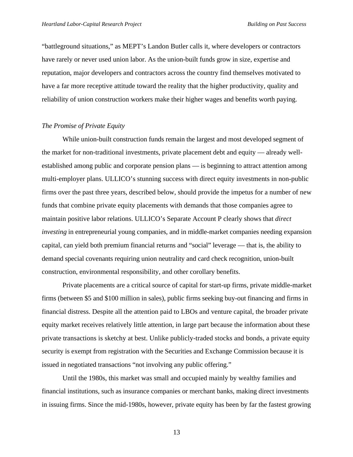"battleground situations," as MEPT's Landon Butler calls it, where developers or contractors have rarely or never used union labor. As the union-built funds grow in size, expertise and reputation, major developers and contractors across the country find themselves motivated to have a far more receptive attitude toward the reality that the higher productivity, quality and reliability of union construction workers make their higher wages and benefits worth paying.

#### *The Promise of Private Equity*

While union-built construction funds remain the largest and most developed segment of the market for non-traditional investments, private placement debt and equity — already wellestablished among public and corporate pension plans — is beginning to attract attention among multi-employer plans. ULLICO's stunning success with direct equity investments in non-public firms over the past three years, described below, should provide the impetus for a number of new funds that combine private equity placements with demands that those companies agree to maintain positive labor relations. ULLICO's Separate Account P clearly shows that *direct investing* in entrepreneurial young companies, and in middle-market companies needing expansion capital, can yield both premium financial returns and "social" leverage — that is, the ability to demand special covenants requiring union neutrality and card check recognition, union-built construction, environmental responsibility, and other corollary benefits.

Private placements are a critical source of capital for start-up firms, private middle-market firms (between \$5 and \$100 million in sales), public firms seeking buy-out financing and firms in financial distress. Despite all the attention paid to LBOs and venture capital, the broader private equity market receives relatively little attention, in large part because the information about these private transactions is sketchy at best. Unlike publicly-traded stocks and bonds, a private equity security is exempt from registration with the Securities and Exchange Commission because it is issued in negotiated transactions "not involving any public offering."

Until the 1980s, this market was small and occupied mainly by wealthy families and financial institutions, such as insurance companies or merchant banks, making direct investments in issuing firms. Since the mid-1980s, however, private equity has been by far the fastest growing

13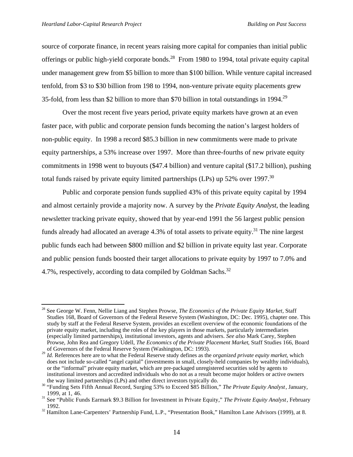l

source of corporate finance, in recent years raising more capital for companies than initial public offerings or public high-yield corporate bonds.<sup>28</sup> From 1980 to 1994, total private equity capital under management grew from \$5 billion to more than \$100 billion. While venture capital increased tenfold, from \$3 to \$30 billion from 198 to 1994, non-venture private equity placements grew 35-fold, from less than \$2 billion to more than \$70 billion in total outstandings in 1994.<sup>29</sup>

Over the most recent five years period, private equity markets have grown at an even faster pace, with public and corporate pension funds becoming the nation's largest holders of non-public equity. In 1998 a record \$85.3 billion in new commitments were made to private equity partnerships, a 53% increase over 1997. More than three-fourths of new private equity commitments in 1998 went to buyouts (\$47.4 billion) and venture capital (\$17.2 billion), pushing total funds raised by private equity limited partnerships (LPs) up  $52\%$  over 1997.<sup>30</sup>

Public and corporate pension funds supplied 43% of this private equity capital by 1994 and almost certainly provide a majority now. A survey by the *Private Equity Analyst*, the leading newsletter tracking private equity, showed that by year-end 1991 the 56 largest public pension funds already had allocated an average 4.3% of total assets to private equity.<sup>31</sup> The nine largest public funds each had between \$800 million and \$2 billion in private equity last year. Corporate and public pension funds boosted their target allocations to private equity by 1997 to 7.0% and 4.7%, respectively, according to data compiled by Goldman Sachs.<sup>32</sup>

<sup>28</sup> See George W. Fenn, Nellie Liang and Stephen Prowse, *The Economics of the Private Equity Market,* Staff Studies 168, Board of Governors of the Federal Reserve System (Washington, DC: Dec. 1995), chapter one. This study by staff at the Federal Reserve System, provides an excellent overview of the economic foundations of the private equity market, including the roles of the key players in those markets, particularly intermediaries (especially limited partnerships), institutional investors, agents and advisers. *See also* Mark Carey, Stephen Prowse, John Rea and Gregory Udell, *The Economics of the Private Placement Market*, Staff Studies 166, Board of Governors of the Federal Reserve System (Washington, DC: 1993).

<sup>29</sup> *Id.* References here are to what the Federal Reserve study defines as the *organized private equity market*, which does not include so-called "angel capital" (investments in small, closely-held companies by wealthy individuals), or the "informal" private equity market, which are pre-packaged unregistered securities sold by agents to institutional investors and accredited individuals who do not as a result become major holders or active owners the way limited partnerships (LPs) and other direct investors typically do.

<sup>30</sup> "Funding Sets Fifth Annual Record, Surging 53% to Exceed \$85 Billion," *The Private Equity Analyst*, January, 1999, at 1, 46.

<sup>31</sup> See "Public Funds Earmark \$9.3 Billion for Investment in Private Equity," *The Private Equity Analyst*, February 1992.

<sup>&</sup>lt;sup>32</sup> Hamilton Lane-Carpenters' Partnership Fund, L.P., "Presentation Book," Hamilton Lane Advisors (1999), at 8.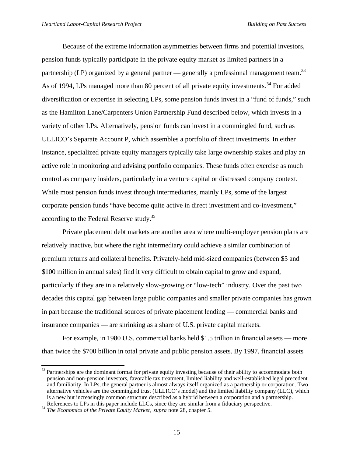Because of the extreme information asymmetries between firms and potential investors, pension funds typically participate in the private equity market as limited partners in a partnership (LP) organized by a general partner — generally a professional management team.<sup>33</sup> As of 1994, LPs managed more than 80 percent of all private equity investments.<sup>34</sup> For added diversification or expertise in selecting LPs, some pension funds invest in a "fund of funds," such as the Hamilton Lane/Carpenters Union Partnership Fund described below, which invests in a variety of other LPs. Alternatively, pension funds can invest in a commingled fund, such as ULLICO's Separate Account P, which assembles a portfolio of direct investments. In either instance, specialized private equity managers typically take large ownership stakes and play an active role in monitoring and advising portfolio companies. These funds often exercise as much control as company insiders, particularly in a venture capital or distressed company context. While most pension funds invest through intermediaries, mainly LPs, some of the largest corporate pension funds "have become quite active in direct investment and co-investment," according to the Federal Reserve study.<sup>35</sup>

Private placement debt markets are another area where multi-employer pension plans are relatively inactive, but where the right intermediary could achieve a similar combination of premium returns and collateral benefits. Privately-held mid-sized companies (between \$5 and \$100 million in annual sales) find it very difficult to obtain capital to grow and expand, particularly if they are in a relatively slow-growing or "low-tech" industry. Over the past two decades this capital gap between large public companies and smaller private companies has grown in part because the traditional sources of private placement lending — commercial banks and insurance companies — are shrinking as a share of U.S. private capital markets.

For example, in 1980 U.S. commercial banks held \$1.5 trillion in financial assets — more than twice the \$700 billion in total private and public pension assets. By 1997, financial assets

<sup>&</sup>lt;sup>33</sup> Partnerships are the dominant format for private equity investing because of their ability to accommodate both pension and non-pension investors, favorable tax treatment, limited liability and well-established legal precedent and familiarity. In LPs, the general partner is almost always itself organized as a partnership or corporation. Two alternative vehicles are the commingled trust (ULLICO's model) and the limited liability company (LLC), which is a new but increasingly common structure described as a hybrid between a corporation and a partnership. References to LPs in this paper include LLCs, since they are similar from a fiduciary perspective.

<sup>&</sup>lt;sup>34</sup> *The Economics of the Private Equity Market*, *supra* note 28, chapter 5.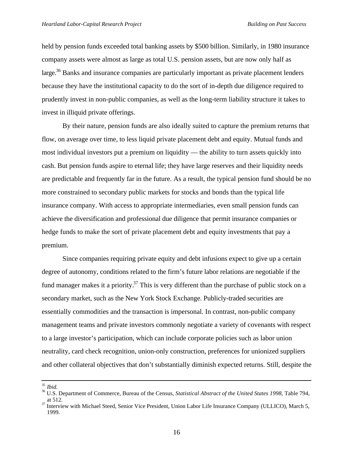held by pension funds exceeded total banking assets by \$500 billion. Similarly, in 1980 insurance company assets were almost as large as total U.S. pension assets, but are now only half as large.<sup>36</sup> Banks and insurance companies are particularly important as private placement lenders because they have the institutional capacity to do the sort of in-depth due diligence required to prudently invest in non-public companies, as well as the long-term liability structure it takes to invest in illiquid private offerings.

By their nature, pension funds are also ideally suited to capture the premium returns that flow, on average over time, to less liquid private placement debt and equity. Mutual funds and most individual investors put a premium on liquidity — the ability to turn assets quickly into cash. But pension funds aspire to eternal life; they have large reserves and their liquidity needs are predictable and frequently far in the future. As a result, the typical pension fund should be no more constrained to secondary public markets for stocks and bonds than the typical life insurance company. With access to appropriate intermediaries, even small pension funds can achieve the diversification and professional due diligence that permit insurance companies or hedge funds to make the sort of private placement debt and equity investments that pay a premium.

Since companies requiring private equity and debt infusions expect to give up a certain degree of autonomy, conditions related to the firm's future labor relations are negotiable if the fund manager makes it a priority.<sup>37</sup> This is very different than the purchase of public stock on a secondary market, such as the New York Stock Exchange. Publicly-traded securities are essentially commodities and the transaction is impersonal. In contrast, non-public company management teams and private investors commonly negotiate a variety of covenants with respect to a large investor's participation, which can include corporate policies such as labor union neutrality, card check recognition, union-only construction, preferences for unionized suppliers and other collateral objectives that don't substantially diminish expected returns. Still, despite the

<sup>35</sup> *Ibid.*

<sup>36</sup> U.S. Department of Commerce, Bureau of the Census, *Statistical Abstract of the United States 1998*, Table 794, at 512.

<sup>&</sup>lt;sup>37</sup> Interview with Michael Steed, Senior Vice President, Union Labor Life Insurance Company (ULLICO), March 5, 1999.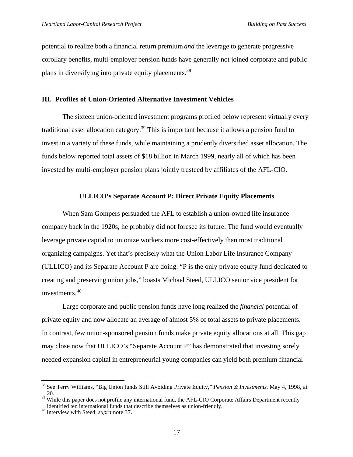potential to realize both a financial return premium *and* the leverage to generate progressive corollary benefits, multi-employer pension funds have generally not joined corporate and public plans in diversifying into private equity placements.<sup>38</sup>

### **III. Profiles of Union-Oriented Alternative Investment Vehicles**

The sixteen union-oriented investment programs profiled below represent virtually every traditional asset allocation category.<sup>39</sup> This is important because it allows a pension fund to invest in a variety of these funds, while maintaining a prudently diversified asset allocation. The funds below reported total assets of \$18 billion in March 1999, nearly all of which has been invested by multi-employer pension plans jointly trusteed by affiliates of the AFL-CIO.

#### **ULLICO's Separate Account P: Direct Private Equity Placements**

When Sam Gompers persuaded the AFL to establish a union-owned life insurance company back in the 1920s, he probably did not foresee its future. The fund would eventually leverage private capital to unionize workers more cost-effectively than most traditional organizing campaigns. Yet that's precisely what the Union Labor Life Insurance Company (ULLICO) and its Separate Account P are doing. "P is the only private equity fund dedicated to creating and preserving union jobs," boasts Michael Steed, ULLICO senior vice president for investments.<sup>40</sup>

Large corporate and public pension funds have long realized the *financial* potential of private equity and now allocate an average of almost 5% of total assets to private placements. In contrast, few union-sponsored pension funds make private equity allocations at all. This gap may close now that ULLICO's "Separate Account P" has demonstrated that investing sorely needed expansion capital in entrepreneurial young companies can yield both premium financial

<sup>38</sup> See Terry Williams, "Big Union funds Still Avoiding Private Equity," *Pension & Investments*, May 4, 1998, at 20.

<sup>&</sup>lt;sup>39</sup> While this paper does not profile any international fund, the AFL-CIO Corporate Affairs Department recently identified ten international funds that describe themselves as union-friendly. identified ten international funds that describe themselves as union-friendly.<br><sup>40</sup> Interview with Steed, *supra* note 37.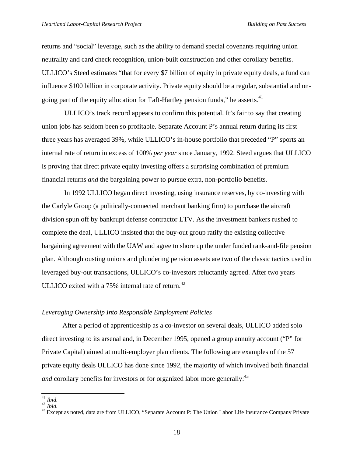returns and "social" leverage, such as the ability to demand special covenants requiring union neutrality and card check recognition, union-built construction and other corollary benefits. ULLICO's Steed estimates "that for every \$7 billion of equity in private equity deals, a fund can influence \$100 billion in corporate activity. Private equity should be a regular, substantial and ongoing part of the equity allocation for Taft-Hartley pension funds," he asserts.<sup>41</sup>

 ULLICO's track record appears to confirm this potential. It's fair to say that creating union jobs has seldom been so profitable. Separate Account P's annual return during its first three years has averaged 39%, while ULLICO's in-house portfolio that preceded "P" sports an internal rate of return in excess of 100% *per year* since January, 1992. Steed argues that ULLICO is proving that direct private equity investing offers a surprising combination of premium financial returns *and* the bargaining power to pursue extra, non-portfolio benefits.

 In 1992 ULLICO began direct investing, using insurance reserves, by co-investing with the Carlyle Group (a politically-connected merchant banking firm) to purchase the aircraft division spun off by bankrupt defense contractor LTV. As the investment bankers rushed to complete the deal, ULLICO insisted that the buy-out group ratify the existing collective bargaining agreement with the UAW and agree to shore up the under funded rank-and-file pension plan. Although ousting unions and plundering pension assets are two of the classic tactics used in leveraged buy-out transactions, ULLICO's co-investors reluctantly agreed. After two years ULLICO exited with a  $75\%$  internal rate of return.<sup>42</sup>

## *Leveraging Ownership Into Responsible Employment Policies*

After a period of apprenticeship as a co-investor on several deals, ULLICO added solo direct investing to its arsenal and, in December 1995, opened a group annuity account ("P" for Private Capital) aimed at multi-employer plan clients. The following are examples of the 57 private equity deals ULLICO has done since 1992, the majority of which involved both financial *and* corollary benefits for investors or for organized labor more generally:<sup>43</sup>

j <sup>41</sup> *Ibid.*

 $\frac{10}{42}$  *Ibid.* 

<sup>&</sup>lt;sup>43</sup> Except as noted, data are from ULLICO, "Separate Account P: The Union Labor Life Insurance Company Private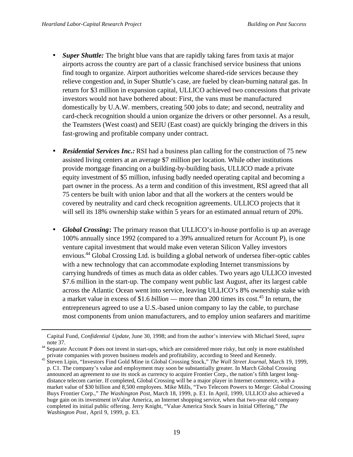- *Super Shuttle:* The bright blue vans that are rapidly taking fares from taxis at major airports across the country are part of a classic franchised service business that unions find tough to organize. Airport authorities welcome shared-ride services because they relieve congestion and, in Super Shuttle's case, are fueled by clean-burning natural gas. In return for \$3 million in expansion capital, ULLICO achieved two concessions that private investors would not have bothered about: First, the vans must be manufactured domestically by U.A.W. members, creating 500 jobs to date; and second, neutrality and card-check recognition should a union organize the drivers or other personnel. As a result, the Teamsters (West coast) and SEIU (East coast) are quickly bringing the drivers in this fast-growing and profitable company under contract.
- **Residential Services Inc.:** RSI had a business plan calling for the construction of 75 new assisted living centers at an average \$7 million per location. While other institutions provide mortgage financing on a building-by-building basis, ULLICO made a private equity investment of \$5 million, infusing badly needed operating capital and becoming a part owner in the process. As a term and condition of this investment, RSI agreed that all 75 centers be built with union labor and that all the workers at the centers would be covered by neutrality and card check recognition agreements. ULLICO projects that it will sell its 18% ownership stake within 5 years for an estimated annual return of 20%.
- *Global Crossing***:** The primary reason that ULLICO's in-house portfolio is up an average 100% annually since 1992 (compared to a 39% annualized return for Account P), is one venture capital investment that would make even veteran Silicon Valley investors envious.<sup>44</sup> Global Crossing Ltd. is building a global network of undersea fiber-optic cables with a new technology that can accommodate exploding Internet transmissions by carrying hundreds of times as much data as older cables. Two years ago ULLICO invested \$7.6 million in the start-up. The company went public last August, after its largest cable across the Atlantic Ocean went into service, leaving ULLICO's 8% ownership stake with a market value in excess of \$1.6 *billion* — more than 200 times its cost.<sup>45</sup> In return, the entrepreneurs agreed to use a U.S.-based union company to lay the cable, to purchase most components from union manufacturers, and to employ union seafarers and maritime

Capital Fund, *Confidential Update*, June 30, 1998; and from the author's interview with Michael Steed, *supra* note 37.

<sup>&</sup>lt;sup>44</sup> Separate Account P does not invest in start-ups, which are considered more risky, but only in more established private companies with proven business models and profitability, according to Steed and Kennedy.

<sup>45</sup> Steven Lipin, "Investors Find Gold Mine in Global Crossing Stock," *The Wall Street Journal*, March 19, 1999, p. C1. The company's value and employment may soon be substantially greater. In March Global Crossing announced an agreement to use its stock as currency to acquire Frontier Corp., the nation's fifth largest longdistance telecom carrier. If completed, Global Crossing will be a major player in Internet commerce, with a market value of \$30 billion and 8,500 employees. Mike Mills, "Two Telecom Powers to Merge: Global Crossing Buys Frontier Corp.," *The Washington Post*, March 18, 1999, p. E1. In April, 1999, ULLICO also achieved a huge gain on its investment inValue America, an Internet shopping service, when that two-year old company completed its initial public offering. Jerry Knight, "Value America Stock Soars in Initial Offering," *The Washington Post*, April 9, 1999, p. E3.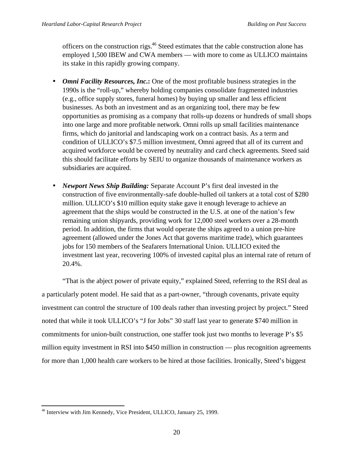officers on the construction rigs.<sup>46</sup> Steed estimates that the cable construction alone has employed 1,500 IBEW and CWA members — with more to come as ULLICO maintains its stake in this rapidly growing company.

- *Omni Facility Resources, Inc.***:** One of the most profitable business strategies in the 1990s is the "roll-up," whereby holding companies consolidate fragmented industries (e.g., office supply stores, funeral homes) by buying up smaller and less efficient businesses. As both an investment and as an organizing tool, there may be few opportunities as promising as a company that rolls-up dozens or hundreds of small shops into one large and more profitable network. Omni rolls up small facilities maintenance firms, which do janitorial and landscaping work on a contract basis. As a term and condition of ULLICO's \$7.5 million investment, Omni agreed that all of its current and acquired workforce would be covered by neutrality and card check agreements. Steed said this should facilitate efforts by SEIU to organize thousands of maintenance workers as subsidiaries are acquired.
- *Newport News Ship Building:* Separate Account P's first deal invested in the construction of five environmentally-safe double-hulled oil tankers at a total cost of \$280 million. ULLICO's \$10 million equity stake gave it enough leverage to achieve an agreement that the ships would be constructed in the U.S. at one of the nation's few remaining union shipyards, providing work for 12,000 steel workers over a 28-month period. In addition, the firms that would operate the ships agreed to a union pre-hire agreement (allowed under the Jones Act that governs maritime trade), which guarantees jobs for 150 members of the Seafarers International Union. ULLICO exited the investment last year, recovering 100% of invested capital plus an internal rate of return of 20.4%.

"That is the abject power of private equity," explained Steed, referring to the RSI deal as a particularly potent model. He said that as a part-owner, "through covenants, private equity investment can control the structure of 100 deals rather than investing project by project." Steed noted that while it took ULLICO's "J for Jobs" 30 staff last year to generate \$740 million in commitments for union-built construction, one staffer took just two months to leverage P's \$5 million equity investment in RSI into \$450 million in construction — plus recognition agreements for more than 1,000 health care workers to be hired at those facilities. Ironically, Steed's biggest

l <sup>46</sup> Interview with Jim Kennedy, Vice President, ULLICO, January 25, 1999.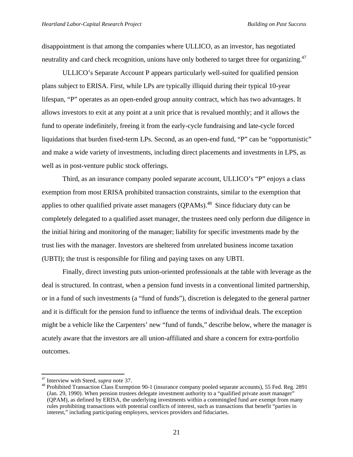disappointment is that among the companies where ULLICO, as an investor, has negotiated neutrality and card check recognition, unions have only bothered to target three for organizing.<sup>47</sup>

ULLICO's Separate Account P appears particularly well-suited for qualified pension plans subject to ERISA. First, while LPs are typically illiquid during their typical 10-year lifespan, "P" operates as an open-ended group annuity contract, which has two advantages. It allows investors to exit at any point at a unit price that is revalued monthly; and it allows the fund to operate indefinitely, freeing it from the early-cycle fundraising and late-cycle forced liquidations that burden fixed-term LPs. Second, as an open-end fund, "P" can be "opportunistic" and make a wide variety of investments, including direct placements and investments in LPS, as well as in post-venture public stock offerings.

Third, as an insurance company pooled separate account, ULLICO's "P" enjoys a class exemption from most ERISA prohibited transaction constraints, similar to the exemption that applies to other qualified private asset managers (QPAMs).<sup>48</sup> Since fiduciary duty can be completely delegated to a qualified asset manager, the trustees need only perform due diligence in the initial hiring and monitoring of the manager; liability for specific investments made by the trust lies with the manager. Investors are sheltered from unrelated business income taxation (UBTI); the trust is responsible for filing and paying taxes on any UBTI.

Finally, direct investing puts union-oriented professionals at the table with leverage as the deal is structured. In contrast, when a pension fund invests in a conventional limited partnership, or in a fund of such investments (a "fund of funds"), discretion is delegated to the general partner and it is difficult for the pension fund to influence the terms of individual deals. The exception might be a vehicle like the Carpenters' new "fund of funds," describe below, where the manager is acutely aware that the investors are all union-affiliated and share a concern for extra-portfolio outcomes.

<sup>47</sup> Interview with Steed, *supra* note 37.

<sup>&</sup>lt;sup>48</sup> Prohibited Transaction Class Exemption 90-1 (insurance company pooled separate accounts), 55 Fed. Reg. 2891 (Jan. 29, 1990). When pension trustees delegate investment authority to a "qualified private asset manager" (QPAM), as defined by ERISA, the underlying investments within a commingled fund are exempt from many rules prohibiting transactions with potential conflicts of interest, such as transactions that benefit "parties in interest," including participating employers, services providers and fiduciaries.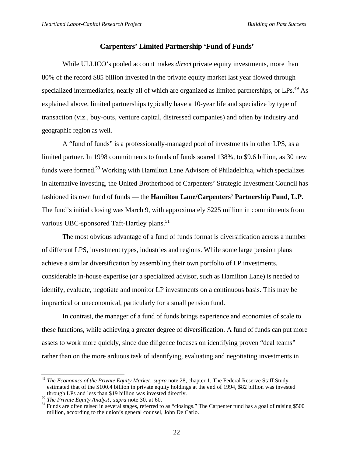## **Carpenters' Limited Partnership 'Fund of Funds'**

While ULLICO's pooled account makes *direct* private equity investments, more than 80% of the record \$85 billion invested in the private equity market last year flowed through specialized intermediaries, nearly all of which are organized as limited partnerships, or LPs.<sup>49</sup> As explained above, limited partnerships typically have a 10-year life and specialize by type of transaction (viz., buy-outs, venture capital, distressed companies) and often by industry and geographic region as well.

A "fund of funds" is a professionally-managed pool of investments in other LPS, as a limited partner. In 1998 commitments to funds of funds soared 138%, to \$9.6 billion, as 30 new funds were formed.<sup>50</sup> Working with Hamilton Lane Advisors of Philadelphia, which specializes in alternative investing, the United Brotherhood of Carpenters' Strategic Investment Council has fashioned its own fund of funds — the **Hamilton Lane/Carpenters' Partnership Fund, L.P.** The fund's initial closing was March 9, with approximately \$225 million in commitments from various UBC-sponsored Taft-Hartley plans.<sup>51</sup>

The most obvious advantage of a fund of funds format is diversification across a number of different LPS, investment types, industries and regions. While some large pension plans achieve a similar diversification by assembling their own portfolio of LP investments, considerable in-house expertise (or a specialized advisor, such as Hamilton Lane) is needed to identify, evaluate, negotiate and monitor LP investments on a continuous basis. This may be impractical or uneconomical, particularly for a small pension fund.

In contrast, the manager of a fund of funds brings experience and economies of scale to these functions, while achieving a greater degree of diversification. A fund of funds can put more assets to work more quickly, since due diligence focuses on identifying proven "deal teams" rather than on the more arduous task of identifying, evaluating and negotiating investments in

<sup>49</sup> *The Economics of the Private Equity Market*, *supra* note 28, chapter 1. The Federal Reserve Staff Study estimated that of the \$100.4 billion in private equity holdings at the end of 1994, \$82 billion was invested through LPs and less than \$19 billion was invested directly.

<sup>50</sup> *The Private Equity Analyst*, *supra* note 30, at 60.

<sup>&</sup>lt;sup>51</sup> Funds are often raised in several stages, referred to as "closings." The Carpenter fund has a goal of raising \$500 million, according to the union's general counsel, John De Carlo.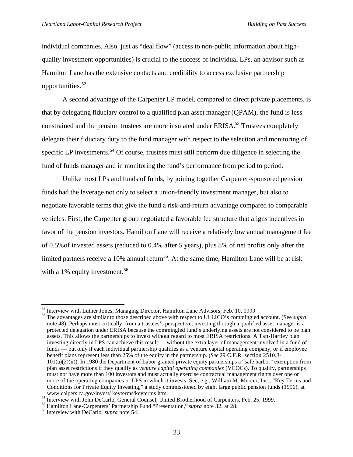individual companies. Also, just as "deal flow" (access to non-public information about highquality investment opportunities) is crucial to the success of individual LPs, an advisor such as Hamilton Lane has the extensive contacts and credibility to access exclusive partnership opportunities.<sup>52</sup>

A second advantage of the Carpenter LP model, compared to direct private placements, is that by delegating fiduciary control to a qualified plan asset manager (QPAM), the fund is less constrained and the pension trustees are more insulated under ERISA.<sup>53</sup> Trustees completely delegate their fiduciary duty to the fund manager with respect to the selection and monitoring of specific LP investments.<sup>54</sup> Of course, trustees must still perform due diligence in selecting the fund of funds manager and in monitoring the fund's performance from period to period.

Unlike most LPs and funds of funds, by joining together Carpenter-sponsored pension funds had the leverage not only to select a union-friendly investment manager, but also to negotiate favorable terms that give the fund a risk-and-return advantage compared to comparable vehicles. First, the Carpenter group negotiated a favorable fee structure that aligns incentives in favor of the pension investors. Hamilton Lane will receive a relatively low annual management fee of 0.5%of invested assets (reduced to 0.4% after 5 years), plus 8% of net profits only after the limited partners receive a 10% annual return<sup>55</sup>. At the same time, Hamilton Lane will be at risk with a  $1\%$  equity investment.<sup>56</sup>

<sup>&</sup>lt;sup>52</sup> Interview with Luther Jones, Managing Director, Hamilton Lane Advisors, Feb. 10, 1999.

<sup>53</sup> The advantages are similar to those described above with respect to ULLICO's commingled account. (See *supra*, note 48). Perhaps most critically, from a trustees's perspective, investing through a qualified asset manager is a protected delegation under ERISA because the commingled fund's underlying assets are not considered to be plan assets. This allows the partnerships to invest without regard to most ERISA restrictions. A Taft-Hartley plan investing directly in LPS can achieve this result — without the extra layer of management involved in a fund of funds — but only if each individual partnership qualifies as a venture capital operating company, or if employee benefit plans represent less than 25% of the equity in the partnership. (*See* 29 C.F.R. section 2510.3-  $101(a)(2)(ii)$ ). In 1980 the Department of Labor granted private equity partnerships a "safe harbor" exemption from plan asset restrictions if they qualify as *venture capital operating companies* (VCOCs). To qualify, partnerships must not have more than 100 investors and must actually exercise contractual management rights over one or more of the operating companies or LPS in which it invests. See, e.g., William M. Mercer, Inc., "Key Terms and Conditions for Private Equity Investing," a study commissioned by eight large public pension funds (1996), at www.calpers.ca.gov/invest/ keyterms/keyterms.htm.

<sup>54</sup> Interview with John DeCarlo, General Counsel, United Brotherhood of Carpenters, Feb. 25, 1999.

<sup>55</sup> Hamilton Lane-Carpenters' Partnership Fund "Presentation," *supra* note 32, at 28.

<sup>56</sup> Interview with DeCarlo, *supra* note 54.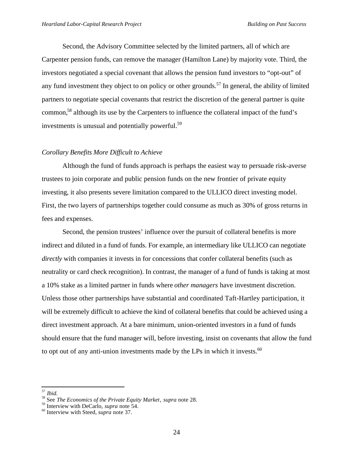Second, the Advisory Committee selected by the limited partners, all of which are Carpenter pension funds, can remove the manager (Hamilton Lane) by majority vote. Third, the investors negotiated a special covenant that allows the pension fund investors to "opt-out" of any fund investment they object to on policy or other grounds.<sup>57</sup> In general, the ability of limited partners to negotiate special covenants that restrict the discretion of the general partner is quite common,<sup>58</sup> although its use by the Carpenters to influence the collateral impact of the fund's investments is unusual and potentially powerful.<sup>59</sup>

#### *Corollary Benefits More Difficult to Achieve*

Although the fund of funds approach is perhaps the easiest way to persuade risk-averse trustees to join corporate and public pension funds on the new frontier of private equity investing, it also presents severe limitation compared to the ULLICO direct investing model. First, the two layers of partnerships together could consume as much as 30% of gross returns in fees and expenses.

Second, the pension trustees' influence over the pursuit of collateral benefits is more indirect and diluted in a fund of funds. For example, an intermediary like ULLICO can negotiate *directly* with companies it invests in for concessions that confer collateral benefits (such as neutrality or card check recognition). In contrast, the manager of a fund of funds is taking at most a 10% stake as a limited partner in funds where *other managers* have investment discretion. Unless those other partnerships have substantial and coordinated Taft-Hartley participation, it will be extremely difficult to achieve the kind of collateral benefits that could be achieved using a direct investment approach. At a bare minimum, union-oriented investors in a fund of funds should ensure that the fund manager will, before investing, insist on covenants that allow the fund to opt out of any anti-union investments made by the LPs in which it invests.<sup>60</sup>

<sup>57</sup> *Ibid.*

<sup>58</sup> See *The Economics of the Private Equity Market*, *supra* note 28.

<sup>59</sup> Interview with DeCarlo, *supra* note 54.

<sup>60</sup> Interview with Steed, *supra* note 37.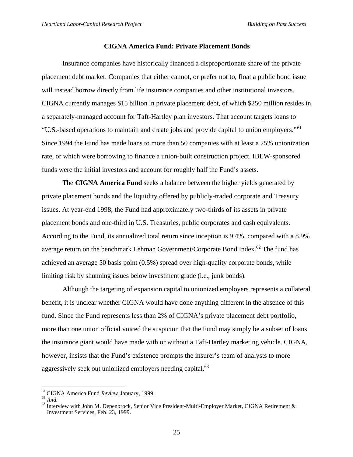#### **CIGNA America Fund: Private Placement Bonds**

Insurance companies have historically financed a disproportionate share of the private placement debt market. Companies that either cannot, or prefer not to, float a public bond issue will instead borrow directly from life insurance companies and other institutional investors. CIGNA currently manages \$15 billion in private placement debt, of which \$250 million resides in a separately-managed account for Taft-Hartley plan investors. That account targets loans to "U.S.-based operations to maintain and create jobs and provide capital to union employers."<sup>61</sup> Since 1994 the Fund has made loans to more than 50 companies with at least a 25% unionization rate, or which were borrowing to finance a union-built construction project. IBEW-sponsored funds were the initial investors and account for roughly half the Fund's assets.

The **CIGNA America Fund** seeks a balance between the higher yields generated by private placement bonds and the liquidity offered by publicly-traded corporate and Treasury issues. At year-end 1998, the Fund had approximately two-thirds of its assets in private placement bonds and one-third in U.S. Treasuries, public corporates and cash equivalents. According to the Fund, its annualized total return since inception is 9.4%, compared with a 8.9% average return on the benchmark Lehman Government/Corporate Bond Index.<sup>62</sup> The fund has achieved an average 50 basis point (0.5%) spread over high-quality corporate bonds, while limiting risk by shunning issues below investment grade (i.e., junk bonds).

Although the targeting of expansion capital to unionized employers represents a collateral benefit, it is unclear whether CIGNA would have done anything different in the absence of this fund. Since the Fund represents less than 2% of CIGNA's private placement debt portfolio, more than one union official voiced the suspicion that the Fund may simply be a subset of loans the insurance giant would have made with or without a Taft-Hartley marketing vehicle. CIGNA, however, insists that the Fund's existence prompts the insurer's team of analysts to more aggressively seek out unionized employers needing capital.<sup>63</sup>

<sup>61</sup> CIGNA America Fund *Review*, January, 1999.

<sup>62</sup> *Ibid.*

 $63$  Interview with John M. Depenbrock, Senior Vice President-Multi-Employer Market, CIGNA Retirement  $\&$ Investment Services, Feb. 23, 1999.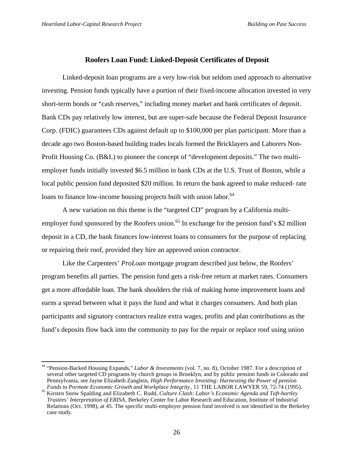l

# **Roofers Loan Fund: Linked-Deposit Certificates of Deposit**

Linked-deposit loan programs are a very low-risk but seldom used approach to alternative investing. Pension funds typically have a portion of their fixed-income allocation invested in very short-term bonds or "cash reserves," including money market and bank certificates of deposit. Bank CDs pay relatively low interest, but are super-safe because the Federal Deposit Insurance Corp. (FDIC) guarantees CDs against default up to \$100,000 per plan participant. More than a decade ago two Boston-based building trades locals formed the Bricklayers and Laborers Non-Profit Housing Co. (B&L) to pioneer the concept of "development deposits." The two multiemployer funds initially invested \$6.5 million in bank CDs at the U.S. Trust of Boston, while a local public pension fund deposited \$20 million. In return the bank agreed to make reduced- rate loans to finance low-income housing projects built with union labor.<sup>64</sup>

A new variation on this theme is the "targeted CD" program by a California multiemployer fund sponsored by the Roofers union.<sup>65</sup> In exchange for the pension fund's \$2 million deposit in a CD, the bank finances low-interest loans to consumers for the purpose of replacing or repairing their roof, provided they hire an approved union contractor.

Like the Carpenters' *ProLoan* mortgage program described just below, the Roofers' program benefits all parties. The pension fund gets a risk-free return at market rates. Consumers get a more affordable loan. The bank shoulders the risk of making home improvement loans and earns a spread between what it pays the fund and what it charges consumers. And both plan participants and signatory contractors realize extra wages, profits and plan contributions as the fund's deposits flow back into the community to pay for the repair or replace roof using union

<sup>64</sup> "Pension-Backed Housing Expands," *Labor & Investments* (vol. 7, no. 8), October 1987. For a description of several other targeted CD programs by church groups in Brooklyn, and by public pension funds in Colorado and Pennsylvania, see Jayne Elizabeth Zanglein, *High Performance Investing: Harnessing the Power of pension Funds to Pormote Economic Growth and Workplace Integrity*, 11 THE LABOR LAWYER 59, 72-74 (1995).

<sup>65</sup> Kirsten Snow Spalding and Elizabeth C. Rudd, *Culture Clash: Labor's Economic Agenda and Taft-hartley Trustees' Interpretation of ERISA*, Berkeley Center for Labor Research and Education, Institute of Industrial Relations (Oct. 1998), at 45. The specific multi-employer pension fund involved is not identified in the Berkeley case study.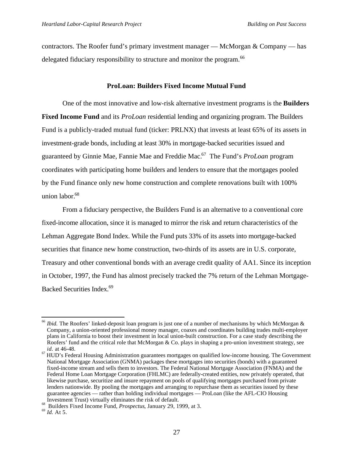contractors. The Roofer fund's primary investment manager — McMorgan & Company — has delegated fiduciary responsibility to structure and monitor the program.<sup>66</sup>

# **ProLoan: Builders Fixed Income Mutual Fund**

One of the most innovative and low-risk alternative investment programs is the **Builders Fixed Income Fund** and its *ProLoan* residential lending and organizing program. The Builders Fund is a publicly-traded mutual fund (ticker: PRLNX) that invests at least 65% of its assets in investment-grade bonds, including at least 30% in mortgage-backed securities issued and guaranteed by Ginnie Mae, Fannie Mae and Freddie Mac.<sup>67</sup> The Fund's *ProLoan* program coordinates with participating home builders and lenders to ensure that the mortgages pooled by the Fund finance only new home construction and complete renovations built with 100% union labor.<sup>68</sup>

From a fiduciary perspective, the Builders Fund is an alternative to a conventional core fixed-income allocation, since it is managed to mirror the risk and return characteristics of the Lehman Aggregate Bond Index. While the Fund puts 33% of its assets into mortgage-backed securities that finance new home construction, two-thirds of its assets are in U.S. corporate, Treasury and other conventional bonds with an average credit quality of AA1. Since its inception in October, 1997, the Fund has almost precisely tracked the 7% return of the Lehman Mortgage-Backed Securities Index.<sup>69</sup>

<sup>66</sup> *Ibid.* The Roofers' linked-deposit loan program is just one of a number of mechanisms by which McMorgan & Company, a union-oriented professional money manager, coaxes and coordinates building trades multi-employer plans in California to boost their investment in local union-built construction. For a case study describing the Roofers' fund and the critical role that McMorgan & Co. plays in shaping a pro-union investment strategy, see *id.* at 46-48.

<sup>&</sup>lt;sup>67</sup> HUD's Federal Housing Administration guarantees mortgages on qualified low-income housing. The Government National Mortgage Association (GNMA) packages these mortgages into securities (bonds) with a guaranteed fixed-income stream and sells them to investors. The Federal National Mortgage Association (FNMA) and the Federal Home Loan Mortgage Corporation (FHLMC) are federally-created entities, now privately operated, that likewise purchase, securitize and insure repayment on pools of qualifying mortgages purchased from private lenders nationwide. By pooling the mortgages and arranging to repurchase them as securities issued by these guarantee agencies — rather than holding individual mortgages — ProLoan (like the AFL-CIO Housing Investment Trust) virtually eliminates the risk of default.

<sup>68</sup> Builders Fixed Income Fund, *Prospectus*, January 29, 1999, at 3.

<sup>69</sup> *Id.* At 5.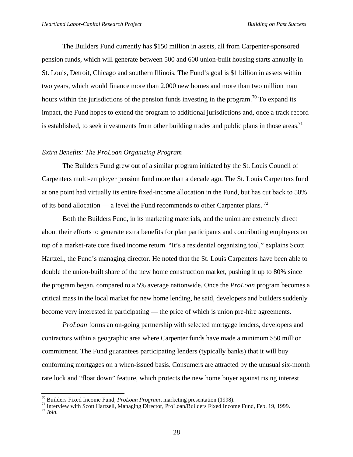The Builders Fund currently has \$150 million in assets, all from Carpenter-sponsored pension funds, which will generate between 500 and 600 union-built housing starts annually in St. Louis, Detroit, Chicago and southern Illinois. The Fund's goal is \$1 billion in assets within two years, which would finance more than 2,000 new homes and more than two million man hours within the jurisdictions of the pension funds investing in the program.<sup>70</sup> To expand its impact, the Fund hopes to extend the program to additional jurisdictions and, once a track record is established, to seek investments from other building trades and public plans in those areas.<sup>71</sup>

# *Extra Benefits: The ProLoan Organizing Program*

The Builders Fund grew out of a similar program initiated by the St. Louis Council of Carpenters multi-employer pension fund more than a decade ago. The St. Louis Carpenters fund at one point had virtually its entire fixed-income allocation in the Fund, but has cut back to 50% of its bond allocation — a level the Fund recommends to other Carpenter plans.<sup>72</sup>

Both the Builders Fund, in its marketing materials, and the union are extremely direct about their efforts to generate extra benefits for plan participants and contributing employers on top of a market-rate core fixed income return. "It's a residential organizing tool," explains Scott Hartzell, the Fund's managing director. He noted that the St. Louis Carpenters have been able to double the union-built share of the new home construction market, pushing it up to 80% since the program began, compared to a 5% average nationwide. Once the *ProLoan* program becomes a critical mass in the local market for new home lending, he said, developers and builders suddenly become very interested in participating — the price of which is union pre-hire agreements.

*ProLoan* forms an on-going partnership with selected mortgage lenders, developers and contractors within a geographic area where Carpenter funds have made a minimum \$50 million commitment. The Fund guarantees participating lenders (typically banks) that it will buy conforming mortgages on a when-issued basis. Consumers are attracted by the unusual six-month rate lock and "float down" feature, which protects the new home buyer against rising interest

<sup>70</sup> Builders Fixed Income Fund, *ProLoan Program*, marketing presentation (1998).

<sup>&</sup>lt;sup>71</sup> Interview with Scott Hartzell, Managing Director, ProLoan/Builders Fixed Income Fund, Feb. 19, 1999. <sup>72</sup> *Ibid.*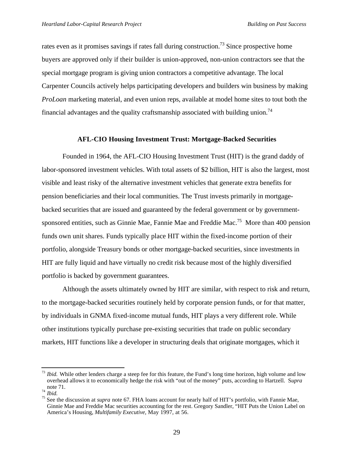rates even as it promises savings if rates fall during construction.<sup>73</sup> Since prospective home buyers are approved only if their builder is union-approved, non-union contractors see that the special mortgage program is giving union contractors a competitive advantage. The local Carpenter Councils actively helps participating developers and builders win business by making *ProLoan* marketing material, and even union reps, available at model home sites to tout both the financial advantages and the quality craftsmanship associated with building union.<sup>74</sup>

#### **AFL-CIO Housing Investment Trust: Mortgage-Backed Securities**

Founded in 1964, the AFL-CIO Housing Investment Trust (HIT) is the grand daddy of labor-sponsored investment vehicles. With total assets of \$2 billion, HIT is also the largest, most visible and least risky of the alternative investment vehicles that generate extra benefits for pension beneficiaries and their local communities. The Trust invests primarily in mortgagebacked securities that are issued and guaranteed by the federal government or by governmentsponsored entities, such as Ginnie Mae, Fannie Mae and Freddie Mac.<sup>75</sup> More than 400 pension funds own unit shares. Funds typically place HIT within the fixed-income portion of their portfolio, alongside Treasury bonds or other mortgage-backed securities, since investments in HIT are fully liquid and have virtually no credit risk because most of the highly diversified portfolio is backed by government guarantees.

Although the assets ultimately owned by HIT are similar, with respect to risk and return, to the mortgage-backed securities routinely held by corporate pension funds, or for that matter, by individuals in GNMA fixed-income mutual funds, HIT plays a very different role. While other institutions typically purchase pre-existing securities that trade on public secondary markets, HIT functions like a developer in structuring deals that originate mortgages, which it

<sup>&</sup>lt;sup>73</sup> *Ibid.* While other lenders charge a steep fee for this feature, the Fund's long time horizon, high volume and low overhead allows it to economically hedge the risk with "out of the money" puts, according to Hartzell. S*upra* note 71.

<sup>74</sup> *Ibid.*

<sup>75</sup> See the discussion at *supra* note 67. FHA loans account for nearly half of HIT's portfolio, with Fannie Mae, Ginnie Mae and Freddie Mac securities accounting for the rest. Gregory Sandler, "HIT Puts the Union Label on America's Housing, *Multifamily Executive*, May 1997, at 56.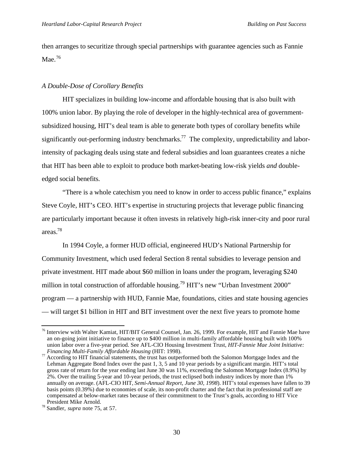then arranges to securitize through special partnerships with guarantee agencies such as Fannie Mae. $76$ 

#### *A Double-Dose of Corollary Benefits*

HIT specializes in building low-income and affordable housing that is also built with 100% union labor. By playing the role of developer in the highly-technical area of governmentsubsidized housing, HIT's deal team is able to generate both types of corollary benefits while significantly out-performing industry benchmarks.<sup>77</sup> The complexity, unpredictability and laborintensity of packaging deals using state and federal subsidies and loan guarantees creates a niche that HIT has been able to exploit to produce both market-beating low-risk yields *and* doubleedged social benefits.

"There is a whole catechism you need to know in order to access public finance," explains Steve Coyle, HIT's CEO. HIT's expertise in structuring projects that leverage public financing are particularly important because it often invests in relatively high-risk inner-city and poor rural areas.<sup>78</sup>

In 1994 Coyle, a former HUD official, engineered HUD's National Partnership for Community Investment, which used federal Section 8 rental subsidies to leverage pension and private investment. HIT made about \$60 million in loans under the program, leveraging \$240 million in total construction of affordable housing.<sup>79</sup> HIT's new "Urban Investment 2000" program — a partnership with HUD, Fannie Mae, foundations, cities and state housing agencies — will target \$1 billion in HIT and BIT investment over the next five years to promote home

<sup>&</sup>lt;sup>76</sup> Interview with Walter Kamiat, HIT/BIT General Counsel, Jan. 26, 1999. For example, HIT and Fannie Mae have an on-going joint initiative to finance up to \$400 million in multi-family affordable housing built with 100% union labor over a five-year period. See AFL-CIO Housing Investment Trust, *HIT-Fannie Mae Joint Initiative: Financing Multi-Family Affordable Housing* (HIT: 1998).

 $^{77}$  According to HIT financial statements, the trust has outperformed both the Salomon Mortgage Index and the  $^{77}$  According to HIT financial statements, the trust has outperformed both the Salomon Mortgage Index and Lehman Aggregate Bond Index over the past 1, 3, 5 and 10 year periods by a significant margin. HIT's total gross rate of return for the year ending last June 30 was 11%, exceeding the Salomon Mortgage Index (8.9%) by 2%. Over the trailing 5-year and 10-year periods, the trust eclipsed both industry indices by more than 1% annually on average. (AFL-CIO HIT, *Semi-Annual Report, June 30, 1998*). HIT's total expenses have fallen to 39 basis points (0.39%) due to economies of scale, its non-profit charter and the fact that its professional staff are compensated at below-market rates because of their commitment to the Trust's goals, according to HIT Vice President Mike Arnold.

<sup>78</sup> Sandler, *supra* note 75, at 57.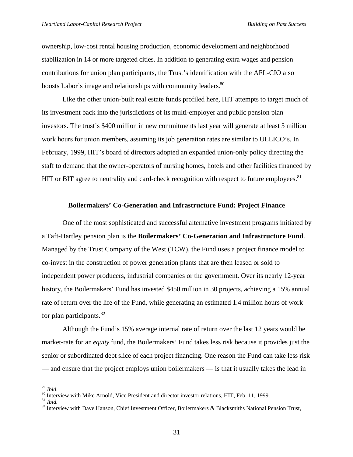ownership, low-cost rental housing production, economic development and neighborhood stabilization in 14 or more targeted cities. In addition to generating extra wages and pension contributions for union plan participants, the Trust's identification with the AFL-CIO also boosts Labor's image and relationships with community leaders.<sup>80</sup>

Like the other union-built real estate funds profiled here, HIT attempts to target much of its investment back into the jurisdictions of its multi-employer and public pension plan investors. The trust's \$400 million in new commitments last year will generate at least 5 million work hours for union members, assuming its job generation rates are similar to ULLICO's. In February, 1999, HIT's board of directors adopted an expanded union-only policy directing the staff to demand that the owner-operators of nursing homes, hotels and other facilities financed by HIT or BIT agree to neutrality and card-check recognition with respect to future employees.<sup>81</sup>

#### **Boilermakers' Co-Generation and Infrastructure Fund: Project Finance**

One of the most sophisticated and successful alternative investment programs initiated by a Taft-Hartley pension plan is the **Boilermakers' Co-Generation and Infrastructure Fund**. Managed by the Trust Company of the West (TCW), the Fund uses a project finance model to co-invest in the construction of power generation plants that are then leased or sold to independent power producers, industrial companies or the government. Over its nearly 12-year history, the Boilermakers' Fund has invested \$450 million in 30 projects, achieving a 15% annual rate of return over the life of the Fund, while generating an estimated 1.4 million hours of work for plan participants.<sup>82</sup>

Although the Fund's 15% average internal rate of return over the last 12 years would be market-rate for an *equity* fund, the Boilermakers' Fund takes less risk because it provides just the senior or subordinated debt slice of each project financing. One reason the Fund can take less risk — and ensure that the project employs union boilermakers — is that it usually takes the lead in

*Ibid.* 

<sup>&</sup>lt;sup>80</sup> Interview with Mike Arnold, Vice President and director investor relations, HIT, Feb. 11, 1999. <sup>81</sup> *Ibid.*

<sup>&</sup>lt;sup>82</sup> Interview with Dave Hanson, Chief Investment Officer, Boilermakers & Blacksmiths National Pension Trust,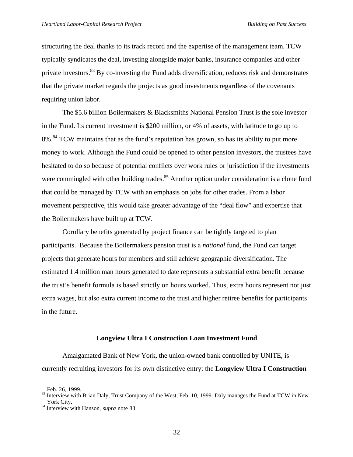structuring the deal thanks to its track record and the expertise of the management team. TCW typically syndicates the deal, investing alongside major banks, insurance companies and other private investors.<sup>83</sup> By co-investing the Fund adds diversification, reduces risk and demonstrates that the private market regards the projects as good investments regardless of the covenants requiring union labor.

The \$5.6 billion Boilermakers & Blacksmiths National Pension Trust is the sole investor in the Fund. Its current investment is \$200 million, or 4% of assets, with latitude to go up to 8%.<sup>84</sup> TCW maintains that as the fund's reputation has grown, so has its ability to put more money to work. Although the Fund could be opened to other pension investors, the trustees have hesitated to do so because of potential conflicts over work rules or jurisdiction if the investments were commingled with other building trades.<sup>85</sup> Another option under consideration is a clone fund that could be managed by TCW with an emphasis on jobs for other trades. From a labor movement perspective, this would take greater advantage of the "deal flow" and expertise that the Boilermakers have built up at TCW.

Corollary benefits generated by project finance can be tightly targeted to plan participants. Because the Boilermakers pension trust is a *national* fund, the Fund can target projects that generate hours for members and still achieve geographic diversification. The estimated 1.4 million man hours generated to date represents a substantial extra benefit because the trust's benefit formula is based strictly on hours worked. Thus, extra hours represent not just extra wages, but also extra current income to the trust and higher retiree benefits for participants in the future.

#### **Longview Ultra I Construction Loan Investment Fund**

Amalgamated Bank of New York, the union-owned bank controlled by UNITE, is currently recruiting investors for its own distinctive entry: the **Longview Ultra I Construction**

Feb. 26, 1999.

<sup>&</sup>lt;sup>83</sup> Interview with Brian Daly, Trust Company of the West, Feb. 10, 1999. Daly manages the Fund at TCW in New York City.

<sup>84</sup> Interview with Hanson, *supra* note 83.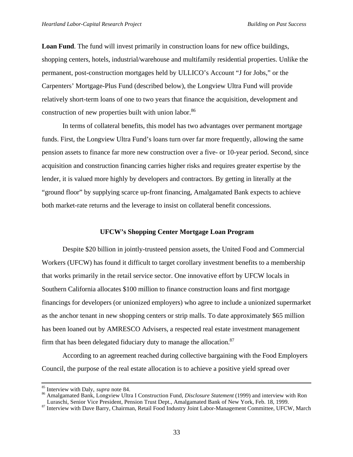**Loan Fund**. The fund will invest primarily in construction loans for new office buildings, shopping centers, hotels, industrial/warehouse and multifamily residential properties. Unlike the permanent, post-construction mortgages held by ULLICO's Account "J for Jobs," or the Carpenters' Mortgage-Plus Fund (described below), the Longview Ultra Fund will provide relatively short-term loans of one to two years that finance the acquisition, development and construction of new properties built with union labor.<sup>86</sup>

In terms of collateral benefits, this model has two advantages over permanent mortgage funds. First, the Longview Ultra Fund's loans turn over far more frequently, allowing the same pension assets to finance far more new construction over a five- or 10-year period. Second, since acquisition and construction financing carries higher risks and requires greater expertise by the lender, it is valued more highly by developers and contractors. By getting in literally at the "ground floor" by supplying scarce up-front financing, Amalgamated Bank expects to achieve both market-rate returns and the leverage to insist on collateral benefit concessions.

### **UFCW's Shopping Center Mortgage Loan Program**

Despite \$20 billion in jointly-trusteed pension assets, the United Food and Commercial Workers (UFCW) has found it difficult to target corollary investment benefits to a membership that works primarily in the retail service sector. One innovative effort by UFCW locals in Southern California allocates \$100 million to finance construction loans and first mortgage financings for developers (or unionized employers) who agree to include a unionized supermarket as the anchor tenant in new shopping centers or strip malls. To date approximately \$65 million has been loaned out by AMRESCO Advisers, a respected real estate investment management firm that has been delegated fiduciary duty to manage the allocation. $87$ 

According to an agreement reached during collective bargaining with the Food Employers Council, the purpose of the real estate allocation is to achieve a positive yield spread over

<sup>85</sup> Interview with Daly, *supra* note 84.

<sup>86</sup> Amalgamated Bank, Longview Ultra I Construction Fund, *Disclosure Statement* (1999) and interview with Ron Luraschi, Senior Vice President, Pension Trust Dept., Amalgamated Bank of New York, Feb. 18, 1999.

<sup>&</sup>lt;sup>87</sup> Interview with Dave Barry, Chairman, Retail Food Industry Joint Labor-Management Committee, UFCW, March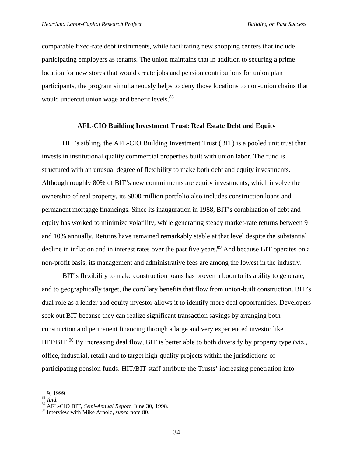comparable fixed-rate debt instruments, while facilitating new shopping centers that include participating employers as tenants. The union maintains that in addition to securing a prime location for new stores that would create jobs and pension contributions for union plan participants, the program simultaneously helps to deny those locations to non-union chains that would undercut union wage and benefit levels.<sup>88</sup>

#### **AFL-CIO Building Investment Trust: Real Estate Debt and Equity**

HIT's sibling, the AFL-CIO Building Investment Trust (BIT) is a pooled unit trust that invests in institutional quality commercial properties built with union labor. The fund is structured with an unusual degree of flexibility to make both debt and equity investments. Although roughly 80% of BIT's new commitments are equity investments, which involve the ownership of real property, its \$800 million portfolio also includes construction loans and permanent mortgage financings. Since its inauguration in 1988, BIT's combination of debt and equity has worked to minimize volatility, while generating steady market-rate returns between 9 and 10% annually. Returns have remained remarkably stable at that level despite the substantial decline in inflation and in interest rates over the past five years.<sup>89</sup> And because BIT operates on a non-profit basis, its management and administrative fees are among the lowest in the industry.

BIT's flexibility to make construction loans has proven a boon to its ability to generate, and to geographically target, the corollary benefits that flow from union-built construction. BIT's dual role as a lender and equity investor allows it to identify more deal opportunities. Developers seek out BIT because they can realize significant transaction savings by arranging both construction and permanent financing through a large and very experienced investor like HIT/BIT.<sup>90</sup> By increasing deal flow, BIT is better able to both diversify by property type (viz., office, industrial, retail) and to target high-quality projects within the jurisdictions of participating pension funds. HIT/BIT staff attribute the Trusts' increasing penetration into

<sup>9, 1999.</sup>

<sup>88</sup> *Ibid.*

<sup>89</sup> AFL-CIO BIT, *Semi-Annual Report*, June 30, 1998.

<sup>90</sup> Interview with Mike Arnold, *supra* note 80.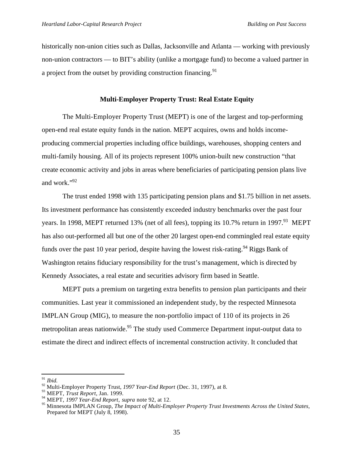historically non-union cities such as Dallas, Jacksonville and Atlanta — working with previously non-union contractors — to BIT's ability (unlike a mortgage fund) to become a valued partner in a project from the outset by providing construction financing.<sup>91</sup>

#### **Multi-Employer Property Trust: Real Estate Equity**

The Multi-Employer Property Trust (MEPT) is one of the largest and top-performing open-end real estate equity funds in the nation. MEPT acquires, owns and holds incomeproducing commercial properties including office buildings, warehouses, shopping centers and multi-family housing. All of its projects represent 100% union-built new construction "that create economic activity and jobs in areas where beneficiaries of participating pension plans live and work."<sup>92</sup>

The trust ended 1998 with 135 participating pension plans and \$1.75 billion in net assets. Its investment performance has consistently exceeded industry benchmarks over the past four years. In 1998, MEPT returned 13% (net of all fees), topping its 10.7% return in 1997.<sup>93</sup> MEPT has also out-performed all but one of the other 20 largest open-end commingled real estate equity funds over the past 10 year period, despite having the lowest risk-rating.<sup>94</sup> Riggs Bank of Washington retains fiduciary responsibility for the trust's management, which is directed by Kennedy Associates, a real estate and securities advisory firm based in Seattle.

MEPT puts a premium on targeting extra benefits to pension plan participants and their communities. Last year it commissioned an independent study, by the respected Minnesota IMPLAN Group (MIG), to measure the non-portfolio impact of 110 of its projects in 26 metropolitan areas nationwide.<sup>95</sup> The study used Commerce Department input-output data to estimate the direct and indirect effects of incremental construction activity. It concluded that

j <sup>91</sup> *Ibid.*

<sup>92</sup> Multi-Employer Property Trust, *1997 Year-End Report* (Dec. 31, 1997), at 8.

<sup>93</sup> MEPT, *Trust Report*, Jan. 1999.

<sup>94</sup> MEPT, *1997 Year-End Report*, *supra* note 92, at 12.

<sup>95</sup> Minnesota IMPLAN Group, *The Impact of Multi-Employer Property Trust Investments Across the United States,* Prepared for MEPT (July 8, 1998).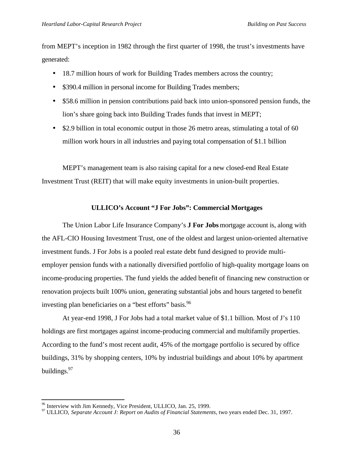from MEPT's inception in 1982 through the first quarter of 1998, the trust's investments have generated:

- 18.7 million hours of work for Building Trades members across the country;
- \$390.4 million in personal income for Building Trades members;
- \$58.6 million in pension contributions paid back into union-sponsored pension funds, the lion's share going back into Building Trades funds that invest in MEPT;
- \$2.9 billion in total economic output in those 26 metro areas, stimulating a total of 60 million work hours in all industries and paying total compensation of \$1.1 billion

MEPT's management team is also raising capital for a new closed-end Real Estate Investment Trust (REIT) that will make equity investments in union-built properties.

## **ULLICO's Account "J For Jobs": Commercial Mortgages**

The Union Labor Life Insurance Company's **J For Jobs** mortgage account is, along with the AFL-CIO Housing Investment Trust, one of the oldest and largest union-oriented alternative investment funds. J For Jobs is a pooled real estate debt fund designed to provide multiemployer pension funds with a nationally diversified portfolio of high-quality mortgage loans on income-producing properties. The fund yields the added benefit of financing new construction or renovation projects built 100% union, generating substantial jobs and hours targeted to benefit investing plan beneficiaries on a "best efforts" basis.<sup>96</sup>

At year-end 1998, J For Jobs had a total market value of \$1.1 billion. Most of J's 110 holdings are first mortgages against income-producing commercial and multifamily properties. According to the fund's most recent audit, 45% of the mortgage portfolio is secured by office buildings, 31% by shopping centers, 10% by industrial buildings and about 10% by apartment buildings.<sup>97</sup>

 $^{96}$  Interview with Jim Kennedy, Vice President, ULLICO, Jan. 25, 1999.

<sup>&</sup>lt;sup>97</sup> ULLICO, *Separate Account J: Report on Audits of Financial Statements*, two years ended Dec. 31, 1997.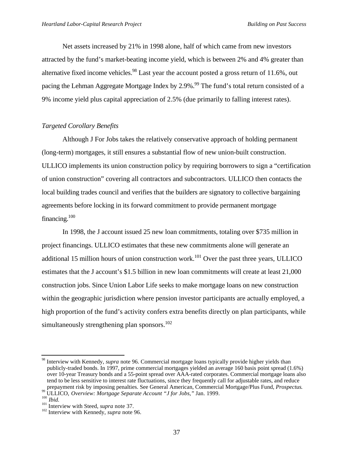Net assets increased by 21% in 1998 alone, half of which came from new investors attracted by the fund's market-beating income yield, which is between 2% and 4% greater than alternative fixed income vehicles.<sup>98</sup> Last year the account posted a gross return of 11.6%, out pacing the Lehman Aggregate Mortgage Index by 2.9%.<sup>99</sup> The fund's total return consisted of a 9% income yield plus capital appreciation of 2.5% (due primarily to falling interest rates).

#### *Targeted Corollary Benefits*

Although J For Jobs takes the relatively conservative approach of holding permanent (long-term) mortgages, it still ensures a substantial flow of new union-built construction. ULLICO implements its union construction policy by requiring borrowers to sign a "certification of union construction" covering all contractors and subcontractors. ULLICO then contacts the local building trades council and verifies that the builders are signatory to collective bargaining agreements before locking in its forward commitment to provide permanent mortgage financing. $100$ 

In 1998, the J account issued 25 new loan commitments, totaling over \$735 million in project financings. ULLICO estimates that these new commitments alone will generate an additional 15 million hours of union construction work.<sup>101</sup> Over the past three years, ULLICO estimates that the J account's \$1.5 billion in new loan commitments will create at least 21,000 construction jobs. Since Union Labor Life seeks to make mortgage loans on new construction within the geographic jurisdiction where pension investor participants are actually employed, a high proportion of the fund's activity confers extra benefits directly on plan participants, while simultaneously strengthening plan sponsors.<sup>102</sup>

<sup>98</sup> Interview with Kennedy, *supra* note 96. Commercial mortgage loans typically provide higher yields than publicly-traded bonds. In 1997, prime commercial mortgages yielded an average 160 basis point spread (1.6%) over 10-year Treasury bonds and a 55-point spread over AAA-rated corporates. Commercial mortgage loans also tend to be less sensitive to interest rate fluctuations, since they frequently call for adjustable rates, and reduce prepayment risk by imposing penalties. See General American, Commercial Mortgage/Plus Fund, *Prospectus*.

<sup>99</sup> ULLICO, *Overview: Mortgage Separate Account "J for Jobs,"* Jan. 1999.

<sup>100</sup> *Ibid.*

<sup>&</sup>lt;sup>101</sup> Interview with Steed, *supra* note 37.

<sup>&</sup>lt;sup>102</sup> Interview with Kennedy, *supra* note 96.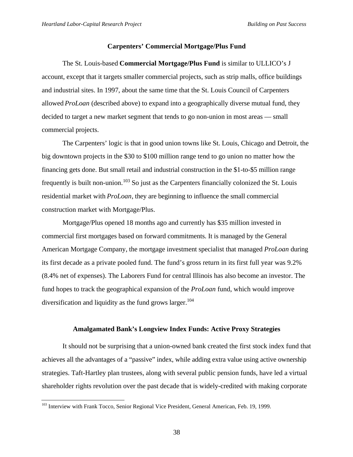#### **Carpenters' Commercial Mortgage/Plus Fund**

The St. Louis-based **Commercial Mortgage/Plus Fund** is similar to ULLICO's J account, except that it targets smaller commercial projects, such as strip malls, office buildings and industrial sites. In 1997, about the same time that the St. Louis Council of Carpenters allowed *ProLoan* (described above) to expand into a geographically diverse mutual fund, they decided to target a new market segment that tends to go non-union in most areas — small commercial projects.

The Carpenters' logic is that in good union towns like St. Louis, Chicago and Detroit, the big downtown projects in the \$30 to \$100 million range tend to go union no matter how the financing gets done. But small retail and industrial construction in the \$1-to-\$5 million range frequently is built non-union.<sup>103</sup> So just as the Carpenters financially colonized the St. Louis residential market with *ProLoan*, they are beginning to influence the small commercial construction market with Mortgage/Plus.

Mortgage/Plus opened 18 months ago and currently has \$35 million invested in commercial first mortgages based on forward commitments. It is managed by the General American Mortgage Company, the mortgage investment specialist that managed *ProLoan* during its first decade as a private pooled fund. The fund's gross return in its first full year was 9.2% (8.4% net of expenses). The Laborers Fund for central Illinois has also become an investor. The fund hopes to track the geographical expansion of the *ProLoan* fund, which would improve diversification and liquidity as the fund grows larger.<sup>104</sup>

#### **Amalgamated Bank's Longview Index Funds: Active Proxy Strategies**

It should not be surprising that a union-owned bank created the first stock index fund that achieves all the advantages of a "passive" index, while adding extra value using active ownership strategies. Taft-Hartley plan trustees, along with several public pension funds, have led a virtual shareholder rights revolution over the past decade that is widely-credited with making corporate

<sup>&</sup>lt;sup>103</sup> Interview with Frank Tocco, Senior Regional Vice President, General American, Feb. 19, 1999.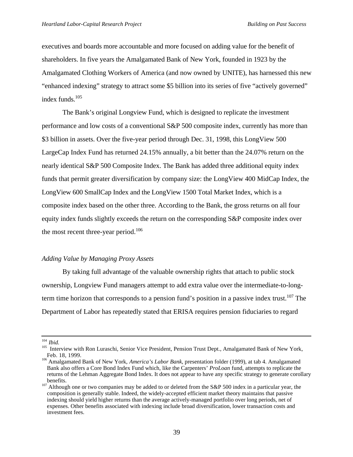executives and boards more accountable and more focused on adding value for the benefit of shareholders. In five years the Amalgamated Bank of New York, founded in 1923 by the Amalgamated Clothing Workers of America (and now owned by UNITE), has harnessed this new "enhanced indexing" strategy to attract some \$5 billion into its series of five "actively governed" index funds.<sup>105</sup>

The Bank's original Longview Fund, which is designed to replicate the investment performance and low costs of a conventional S&P 500 composite index, currently has more than \$3 billion in assets. Over the five-year period through Dec. 31, 1998, this LongView 500 LargeCap Index Fund has returned 24.15% annually, a bit better than the 24.07% return on the nearly identical S&P 500 Composite Index. The Bank has added three additional equity index funds that permit greater diversification by company size: the LongView 400 MidCap Index, the LongView 600 SmallCap Index and the LongView 1500 Total Market Index, which is a composite index based on the other three. According to the Bank, the gross returns on all four equity index funds slightly exceeds the return on the corresponding S&P composite index over the most recent three-year period.<sup>106</sup>

#### *Adding Value by Managing Proxy Assets*

By taking full advantage of the valuable ownership rights that attach to public stock ownership, Longview Fund managers attempt to add extra value over the intermediate-to-longterm time horizon that corresponds to a pension fund's position in a passive index trust.<sup>107</sup> The Department of Labor has repeatedly stated that ERISA requires pension fiduciaries to regard

j <sup>104</sup> *Ibid.*

<sup>&</sup>lt;sup>105</sup> Interview with Ron Luraschi, Senior Vice President, Pension Trust Dept., Amalgamated Bank of New York, Feb. 18, 1999.

<sup>106</sup> Amalgamated Bank of New York, *America's Labor Bank*, presentation folder (1999), at tab 4. Amalgamated Bank also offers a Core Bond Index Fund which, like the Carpenters' *ProLoan* fund, attempts to replicate the returns of the Lehman Aggregate Bond Index. It does not appear to have any specific strategy to generate corollary benefits.

 $107$  Although one or two companies may be added to or deleted from the S&P 500 index in a particular year, the composition is generally stable. Indeed, the widely-accepted efficient market theory maintains that passive indexing should yield higher returns than the average actively-managed portfolio over long periods, net of expenses. Other benefits associated with indexing include broad diversification, lower transaction costs and investment fees.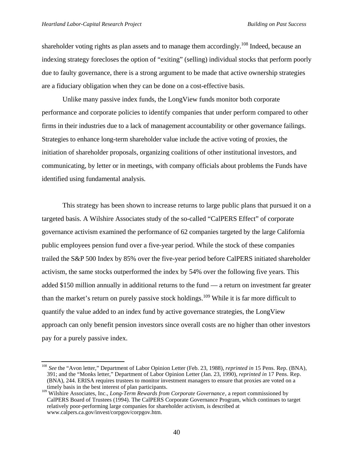l

shareholder voting rights as plan assets and to manage them accordingly.<sup>108</sup> Indeed, because an indexing strategy forecloses the option of "exiting" (selling) individual stocks that perform poorly due to faulty governance, there is a strong argument to be made that active ownership strategies are a fiduciary obligation when they can be done on a cost-effective basis.

Unlike many passive index funds, the LongView funds monitor both corporate performance and corporate policies to identify companies that under perform compared to other firms in their industries due to a lack of management accountability or other governance failings. Strategies to enhance long-term shareholder value include the active voting of proxies, the initiation of shareholder proposals, organizing coalitions of other institutional investors, and communicating, by letter or in meetings, with company officials about problems the Funds have identified using fundamental analysis.

This strategy has been shown to increase returns to large public plans that pursued it on a targeted basis. A Wilshire Associates study of the so-called "CalPERS Effect" of corporate governance activism examined the performance of 62 companies targeted by the large California public employees pension fund over a five-year period. While the stock of these companies trailed the S&P 500 Index by 85% over the five-year period before CalPERS initiated shareholder activism, the same stocks outperformed the index by 54% over the following five years. This added \$150 million annually in additional returns to the fund — a return on investment far greater than the market's return on purely passive stock holdings.<sup>109</sup> While it is far more difficult to quantify the value added to an index fund by active governance strategies, the LongView approach can only benefit pension investors since overall costs are no higher than other investors pay for a purely passive index.

<sup>108</sup> *See* the "Avon letter," Department of Labor Opinion Letter (Feb. 23, 1988), *reprinted in* 15 Pens. Rep. (BNA), 391; and the "Monks letter," Department of Labor Opinion Letter (Jan. 23, 1990), *reprinted in* 17 Pens. Rep. (BNA), 244. ERISA requires trustees to monitor investment managers to ensure that proxies are voted on a timely basis in the best interest of plan participants.

<sup>&</sup>lt;sup>109</sup> Wilshire Associates, Inc., *Long-Term Rewards from Corporate Governance*, a report commissioned by CalPERS Board of Trustees (1994). The CalPERS Corporate Governance Program, which continues to target relatively poor-performing large companies for shareholder activism, is described at www.calpers.ca.gov/invest/corpgov/corpgov.htm.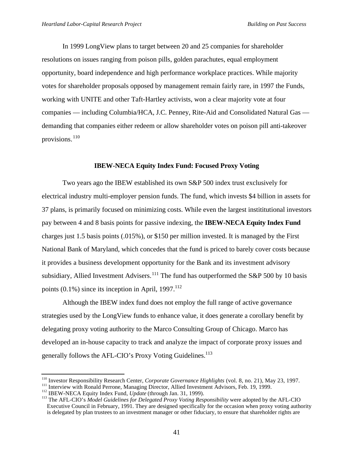In 1999 LongView plans to target between 20 and 25 companies for shareholder resolutions on issues ranging from poison pills, golden parachutes, equal employment opportunity, board independence and high performance workplace practices. While majority votes for shareholder proposals opposed by management remain fairly rare, in 1997 the Funds, working with UNITE and other Taft-Hartley activists, won a clear majority vote at four companies — including Columbia/HCA, J.C. Penney, Rite-Aid and Consolidated Natural Gas demanding that companies either redeem or allow shareholder votes on poison pill anti-takeover provisions.<sup>110</sup>

## **IBEW-NECA Equity Index Fund: Focused Proxy Voting**

Two years ago the IBEW established its own S&P 500 index trust exclusively for electrical industry multi-employer pension funds. The fund, which invests \$4 billion in assets for 37 plans, is primarily focused on minimizing costs. While even the largest instititutional investors pay between 4 and 8 basis points for passive indexing, the **IBEW-NECA Equity Index Fund** charges just 1.5 basis points (.015%), or \$150 per million invested. It is managed by the First National Bank of Maryland, which concedes that the fund is priced to barely cover costs because it provides a business development opportunity for the Bank and its investment advisory subsidiary, Allied Investment Advisers.<sup>111</sup> The fund has outperformed the S&P 500 by 10 basis points  $(0.1\%)$  since its inception in April, 1997.<sup>112</sup>

Although the IBEW index fund does not employ the full range of active governance strategies used by the LongView funds to enhance value, it does generate a corollary benefit by delegating proxy voting authority to the Marco Consulting Group of Chicago. Marco has developed an in-house capacity to track and analyze the impact of corporate proxy issues and generally follows the AFL-CIO's Proxy Voting Guidelines.<sup>113</sup>

<sup>110</sup> Investor Responsibility Research Center, *Corporate Governance Highlights* (vol. 8, no. 21), May 23, 1997.

<sup>&</sup>lt;sup>111</sup> Interview with Ronald Perrone, Managing Director, Allied Investment Advisors, Feb. 19, 1999.

<sup>&</sup>lt;sup>112</sup> IBEW-NECA Equity Index Fund, *Update* (through Jan. 31, 1999).

<sup>113</sup> The AFL-CIO's *Model Guidelines for Delegated Proxy Voting Responsibility* were adopted by the AFL-CIO Executive Council in February, 1991. They are designed specifically for the occasion when proxy voting authority is delegated by plan trustees to an investment manager or other fiduciary, to ensure that shareholder rights are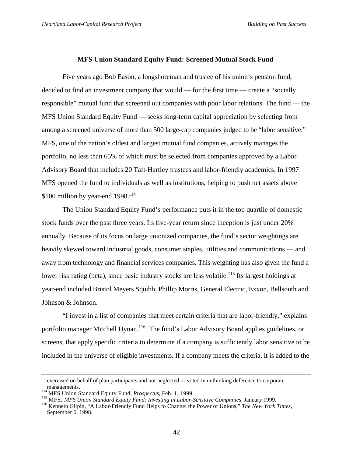#### **MFS Union Standard Equity Fund: Screened Mutual Stock Fund**

Five years ago Bob Eason, a longshoreman and trustee of his union's pension fund, decided to find an investment company that would — for the first time — create a "socially responsible" mutual fund that screened out companies with poor labor relations. The fund — the MFS Union Standard Equity Fund — seeks long-term capital appreciation by selecting from among a screened universe of more than 500 large-cap companies judged to be "labor sensitive." MFS, one of the nation's oldest and largest mutual fund companies, actively manages the portfolio, no less than 65% of which must be selected from companies approved by a Labor Advisory Board that includes 20 Taft-Hartley trustees and labor-friendly academics. In 1997 MFS opened the fund to individuals as well as institutions, helping to push net assets above \$100 million by year-end  $1998$ <sup>114</sup>

The Union Standard Equity Fund's performance puts it in the top quartile of domestic stock funds over the past three years. Its five-year return since inception is just under 20% annually. Because of its focus on large unionized companies, the fund's sector weightings are heavily skewed toward industrial goods, consumer staples, utilities and communications — and away from technology and financial services companies. This weighting has also given the fund a lower risk rating (beta), since basic industry stocks are less volatile.<sup>115</sup> Its largest holdings at year-end included Bristol Meyers Squibb, Phillip Morris, General Electric, Exxon, Bellsouth and Johnson & Johnson.

"I invest in a list of companies that meet certain criteria that are labor-friendly," explains portfolio manager Mitchell Dynan.<sup>116</sup> The fund's Labor Advisory Board applies guidelines, or screens, that apply specific criteria to determine if a company is sufficiently labor sensitive to be included in the universe of eligible investments. If a company meets the criteria, it is added to the

exercised on behalf of plan participants and not neglected or voted in unthinking deference to corporate managements.

<sup>114</sup> MFS Union Standard Equity Fund, *Prospectus*, Feb. 1, 1999.

<sup>115</sup> MFS, *MFS Union Standard Equity Fund: Investing in Labor-Sensitive Companies*, January 1999.

<sup>116</sup> Kenneth Gilpin, "A Labor-Friendly Fund Helps to Channel the Power of Unions," *The New York Times*, September 6, 1998.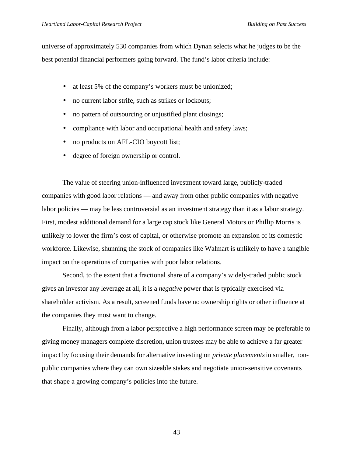universe of approximately 530 companies from which Dynan selects what he judges to be the best potential financial performers going forward. The fund's labor criteria include:

- at least 5% of the company's workers must be unionized;
- no current labor strife, such as strikes or lockouts;
- no pattern of outsourcing or unjustified plant closings;
- compliance with labor and occupational health and safety laws;
- no products on AFL-CIO boycott list;
- degree of foreign ownership or control.

The value of steering union-influenced investment toward large, publicly-traded companies with good labor relations — and away from other public companies with negative labor policies — may be less controversial as an investment strategy than it as a labor strategy. First, modest additional demand for a large cap stock like General Motors or Phillip Morris is unlikely to lower the firm's cost of capital, or otherwise promote an expansion of its domestic workforce. Likewise, shunning the stock of companies like Walmart is unlikely to have a tangible impact on the operations of companies with poor labor relations.

Second, to the extent that a fractional share of a company's widely-traded public stock gives an investor any leverage at all, it is a *negative* power that is typically exercised via shareholder activism. As a result, screened funds have no ownership rights or other influence at the companies they most want to change.

Finally, although from a labor perspective a high performance screen may be preferable to giving money managers complete discretion, union trustees may be able to achieve a far greater impact by focusing their demands for alternative investing on *private placements* in smaller, nonpublic companies where they can own sizeable stakes and negotiate union-sensitive covenants that shape a growing company's policies into the future.

43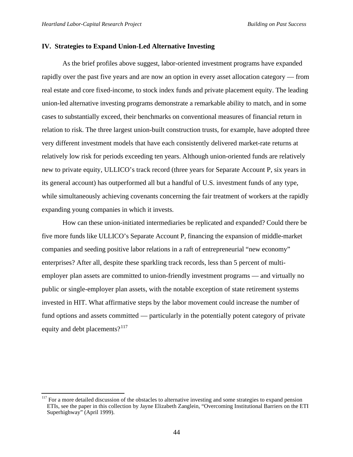j

#### **IV. Strategies to Expand Union-Led Alternative Investing**

As the brief profiles above suggest, labor-oriented investment programs have expanded rapidly over the past five years and are now an option in every asset allocation category — from real estate and core fixed-income, to stock index funds and private placement equity. The leading union-led alternative investing programs demonstrate a remarkable ability to match, and in some cases to substantially exceed, their benchmarks on conventional measures of financial return in relation to risk. The three largest union-built construction trusts, for example, have adopted three very different investment models that have each consistently delivered market-rate returns at relatively low risk for periods exceeding ten years. Although union-oriented funds are relatively new to private equity, ULLICO's track record (three years for Separate Account P, six years in its general account) has outperformed all but a handful of U.S. investment funds of any type, while simultaneously achieving covenants concerning the fair treatment of workers at the rapidly expanding young companies in which it invests.

How can these union-initiated intermediaries be replicated and expanded? Could there be five more funds like ULLICO's Separate Account P, financing the expansion of middle-market companies and seeding positive labor relations in a raft of entrepreneurial "new economy" enterprises? After all, despite these sparkling track records, less than 5 percent of multiemployer plan assets are committed to union-friendly investment programs — and virtually no public or single-employer plan assets, with the notable exception of state retirement systems invested in HIT. What affirmative steps by the labor movement could increase the number of fund options and assets committed — particularly in the potentially potent category of private equity and debt placements?<sup>117</sup>

 $117$  For a more detailed discussion of the obstacles to alternative investing and some strategies to expand pension ETIs, see the paper in this collection by Jayne Elizabeth Zanglein, "Overcoming Institutional Barriers on the ETI Superhighway" (April 1999).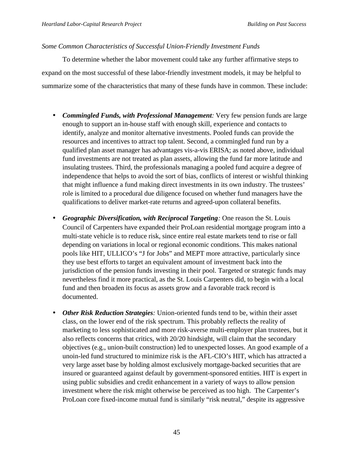# *Some Common Characteristics of Successful Union-Friendly Investment Funds*

To determine whether the labor movement could take any further affirmative steps to expand on the most successful of these labor-friendly investment models, it may be helpful to summarize some of the characteristics that many of these funds have in common. These include:

- *Commingled Funds, with Professional Management:* Very few pension funds are large enough to support an in-house staff with enough skill, experience and contacts to identify, analyze and monitor alternative investments. Pooled funds can provide the resources and incentives to attract top talent. Second, a commingled fund run by a qualified plan asset manager has advantages vis-a-vis ERISA; as noted above, individual fund investments are not treated as plan assets, allowing the fund far more latitude and insulating trustees. Third, the professionals managing a pooled fund acquire a degree of independence that helps to avoid the sort of bias, conflicts of interest or wishful thinking that might influence a fund making direct investments in its own industry. The trustees' role is limited to a procedural due diligence focused on whether fund managers have the qualifications to deliver market-rate returns and agreed-upon collateral benefits.
- *Geographic Diversification, with Reciprocal Targeting:* One reason the St. Louis Council of Carpenters have expanded their ProLoan residential mortgage program into a multi-state vehicle is to reduce risk, since entire real estate markets tend to rise or fall depending on variations in local or regional economic conditions. This makes national pools like HIT, ULLICO's "J for Jobs" and MEPT more attractive, particularly since they use best efforts to target an equivalent amount of investment back into the jurisdiction of the pension funds investing in their pool. Targeted or strategic funds may nevertheless find it more practical, as the St. Louis Carpenters did, to begin with a local fund and then broaden its focus as assets grow and a favorable track record is documented.
- *Other Risk Reduction Strategies:* Union-oriented funds tend to be, within their asset class, on the lower end of the risk spectrum. This probably reflects the reality of marketing to less sophisticated and more risk-averse multi-employer plan trustees, but it also reflects concerns that critics, with 20/20 hindsight, will claim that the secondary objectives (e.g., union-built construction) led to unexpected losses. An good example of a unoin-led fund structured to minimize risk is the AFL-CIO's HIT, which has attracted a very large asset base by holding almost exclusively mortgage-backed securities that are insured or guaranteed against default by government-sponsored entities. HIT is expert in using public subsidies and credit enhancement in a variety of ways to allow pension investment where the risk might otherwise be perceived as too high. The Carpenter's ProLoan core fixed-income mutual fund is similarly "risk neutral," despite its aggressive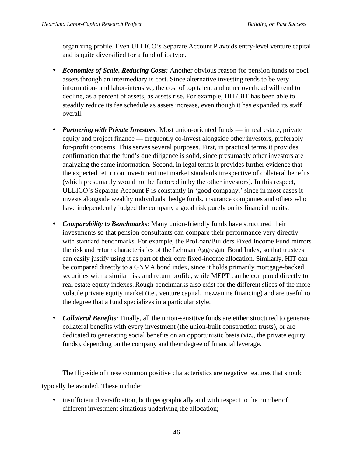organizing profile. Even ULLICO's Separate Account P avoids entry-level venture capital and is quite diversified for a fund of its type.

- *Economies of Scale, Reducing Costs:* Another obvious reason for pension funds to pool assets through an intermediary is cost. Since alternative investing tends to be very information- and labor-intensive, the cost of top talent and other overhead will tend to decline, as a percent of assets, as assets rise. For example, HIT/BIT has been able to steadily reduce its fee schedule as assets increase, even though it has expanded its staff overall.
- *Partnering with Private Investors:* Most union-oriented funds in real estate, private equity and project finance — frequently co-invest alongside other investors, preferably for-profit concerns. This serves several purposes. First, in practical terms it provides confirmation that the fund's due diligence is solid, since presumably other investors are analyzing the same information. Second, in legal terms it provides further evidence that the expected return on investment met market standards irrespective of collateral benefits (which presumably would not be factored in by the other investors). In this respect, ULLICO's Separate Account P is constantly in 'good company,' since in most cases it invests alongside wealthy individuals, hedge funds, insurance companies and others who have independently judged the company a good risk purely on its financial merits.
- *Comparability to Benchmarks:* Many union-friendly funds have structured their investments so that pension consultants can compare their performance very directly with standard benchmarks. For example, the ProLoan/Builders Fixed Income Fund mirrors the risk and return characteristics of the Lehman Aggregate Bond Index, so that trustees can easily justify using it as part of their core fixed-income allocation. Similarly, HIT can be compared directly to a GNMA bond index, since it holds primarily mortgage-backed securities with a similar risk and return profile, while MEPT can be compared directly to real estate equity indexes. Rough benchmarks also exist for the different slices of the more volatile private equity market (i.e., venture capital, mezzanine financing) and are useful to the degree that a fund specializes in a particular style.
- *Collateral Benefits*: Finally, all the union-sensitive funds are either structured to generate collateral benefits with every investment (the union-built construction trusts), or are dedicated to generating social benefits on an opportunistic basis (viz., the private equity funds), depending on the company and their degree of financial leverage.

The flip-side of these common positive characteristics are negative features that should typically be avoided. These include:

• insufficient diversification, both geographically and with respect to the number of different investment situations underlying the allocation;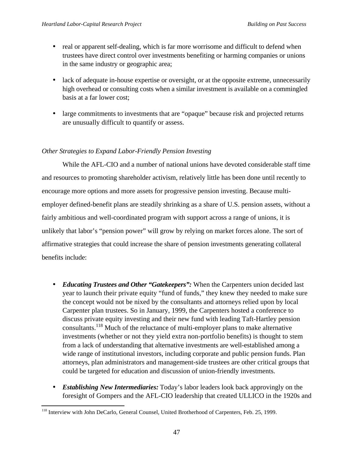- real or apparent self-dealing, which is far more worrisome and difficult to defend when trustees have direct control over investments benefiting or harming companies or unions in the same industry or geographic area;
- lack of adequate in-house expertise or oversight, or at the opposite extreme, unnecessarily high overhead or consulting costs when a similar investment is available on a commingled basis at a far lower cost;
- large commitments to investments that are "opaque" because risk and projected returns are unusually difficult to quantify or assess.

# *Other Strategies to Expand Labor-Friendly Pension Investing*

While the AFL-CIO and a number of national unions have devoted considerable staff time and resources to promoting shareholder activism, relatively little has been done until recently to encourage more options and more assets for progressive pension investing. Because multiemployer defined-benefit plans are steadily shrinking as a share of U.S. pension assets, without a fairly ambitious and well-coordinated program with support across a range of unions, it is unlikely that labor's "pension power" will grow by relying on market forces alone. The sort of affirmative strategies that could increase the share of pension investments generating collateral benefits include:

- *Educating Trustees and Other "Gatekeepers":* When the Carpenters union decided last year to launch their private equity "fund of funds," they knew they needed to make sure the concept would not be nixed by the consultants and attorneys relied upon by local Carpenter plan trustees. So in January, 1999, the Carpenters hosted a conference to discuss private equity investing and their new fund with leading Taft-Hartley pension consultants.<sup>118</sup> Much of the reluctance of multi-employer plans to make alternative investments (whether or not they yield extra non-portfolio benefits) is thought to stem from a lack of understanding that alternative investments are well-established among a wide range of institutional investors, including corporate and public pension funds. Plan attorneys, plan administrators and management-side trustees are other critical groups that could be targeted for education and discussion of union-friendly investments.
- *Establishing New Intermediaries:* Today's labor leaders look back approvingly on the foresight of Gompers and the AFL-CIO leadership that created ULLICO in the 1920s and

l <sup>118</sup> Interview with John DeCarlo, General Counsel, United Brotherhood of Carpenters, Feb. 25, 1999.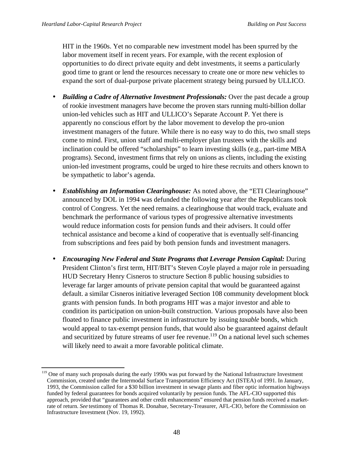l

HIT in the 1960s. Yet no comparable new investment model has been spurred by the labor movement itself in recent years. For example, with the recent explosion of opportunities to do direct private equity and debt investments, it seems a particularly good time to grant or lend the resources necessary to create one or more new vehicles to expand the sort of dual-purpose private placement strategy being pursued by ULLICO.

- *Building a Cadre of Alternative Investment Professionals:* Over the past decade a group of rookie investment managers have become the proven stars running multi-billion dollar union-led vehicles such as HIT and ULLICO's Separate Account P. Yet there is apparently no conscious effort by the labor movement to develop the pro-union investment managers of the future. While there is no easy way to do this, two small steps come to mind. First, union staff and multi-employer plan trustees with the skills and inclination could be offered "scholarships" to learn investing skills (e.g., part-time MBA programs). Second, investment firms that rely on unions as clients, including the existing union-led investment programs, could be urged to hire these recruits and others known to be sympathetic to labor's agenda.
- *Establishing an Information Clearinghouse:* As noted above, the "ETI Clearinghouse" announced by DOL in 1994 was defunded the following year after the Republicans took control of Congress. Yet the need remains. a clearinghouse that would track, evaluate and benchmark the performance of various types of progressive alternative investments would reduce information costs for pension funds and their advisers. It could offer technical assistance and become a kind of cooperative that is eventually self-financing from subscriptions and fees paid by both pension funds and investment managers.
- *Encouraging New Federal and State Programs that Leverage Pension Capital:* During President Clinton's first term, HIT/BIT's Steven Coyle played a major role in persuading HUD Secretary Henry Cisneros to structure Section 8 public housing subsidies to leverage far larger amounts of private pension capital that would be guaranteed against default. a similar Cisneros initiative leveraged Section 108 community development block grants with pension funds. In both programs HIT was a major investor and able to condition its participation on union-built construction. Various proposals have also been floated to finance public investment in infrastructure by issuing *taxable* bonds, which would appeal to tax-exempt pension funds, that would also be guaranteed against default and securitized by future streams of user fee revenue.<sup>119</sup> On a national level such schemes will likely need to await a more favorable political climate.

<sup>&</sup>lt;sup>119</sup> One of many such proposals during the early 1990s was put forward by the National Infrastructure Investment Commission, created under the Intermodal Surface Transportation Efficiency Act (ISTEA) of 1991. In January, 1993, the Commission called for a \$30 billion investment in sewage plants and fiber optic information highways funded by federal guarantees for bonds acquired voluntarily by pension funds. The AFL-CIO supported this approach, provided that "guarantees and other credit enhancements" ensured that pension funds received a marketrate of return. *See* testimony of Thomas R. Donahue, Secretary-Treasurer, AFL-CIO, before the Commission on Infrastructure Investment (Nov. 19, 1992).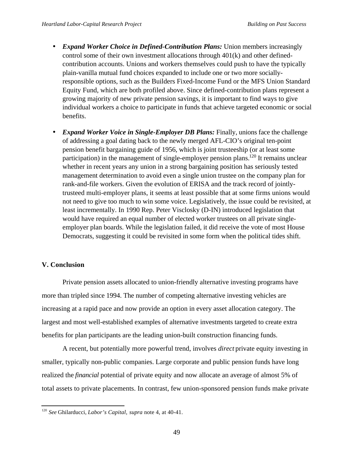- *Expand Worker Choice in Defined-Contribution Plans:* Union members increasingly control some of their own investment allocations through 401(k) and other definedcontribution accounts. Unions and workers themselves could push to have the typically plain-vanilla mutual fund choices expanded to include one or two more sociallyresponsible options, such as the Builders Fixed-Income Fund or the MFS Union Standard Equity Fund, which are both profiled above. Since defined-contribution plans represent a growing majority of new private pension savings, it is important to find ways to give individual workers a choice to participate in funds that achieve targeted economic or social benefits.
- *Expand Worker Voice in Single-Employer DB Plans:* Finally, unions face the challenge of addressing a goal dating back to the newly merged AFL-CIO's original ten-point pension benefit bargaining guide of 1956, which is joint trusteeship (or at least some participation) in the management of single-employer pension plans.<sup>120</sup> It remains unclear whether in recent years any union in a strong bargaining position has seriously tested management determination to avoid even a single union trustee on the company plan for rank-and-file workers. Given the evolution of ERISA and the track record of jointlytrusteed multi-employer plans, it seems at least possible that at some firms unions would not need to give too much to win some voice. Legislatively, the issue could be revisited, at least incrementally. In 1990 Rep. Peter Visclosky (D-IN) introduced legislation that would have required an equal number of elected worker trustees on all private singleemployer plan boards. While the legislation failed, it did receive the vote of most House Democrats, suggesting it could be revisited in some form when the political tides shift.

# **V. Conclusion**

l

Private pension assets allocated to union-friendly alternative investing programs have more than tripled since 1994. The number of competing alternative investing vehicles are increasing at a rapid pace and now provide an option in every asset allocation category. The largest and most well-established examples of alternative investments targeted to create extra benefits for plan participants are the leading union-built construction financing funds.

A recent, but potentially more powerful trend, involves *direct* private equity investing in smaller, typically non-public companies. Large corporate and public pension funds have long realized the *financial* potential of private equity and now allocate an average of almost 5% of total assets to private placements. In contrast, few union-sponsored pension funds make private

<sup>120</sup> *See* Ghilarducci, *Labor's Capital*, *supra* note 4, at 40-41.